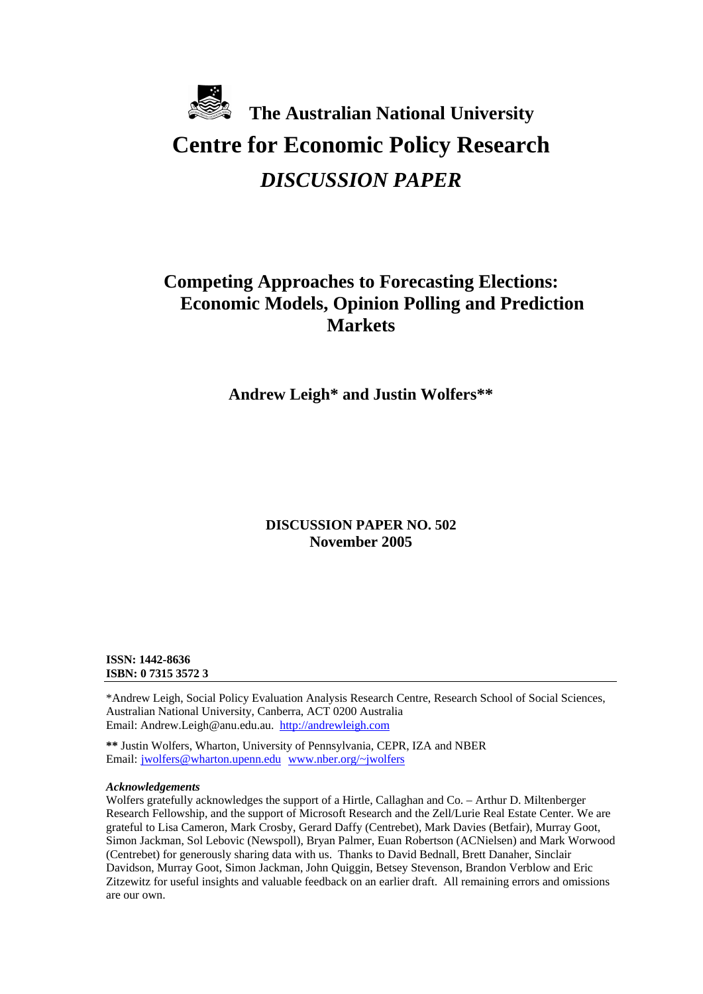# **The Australian National University Centre for Economic Policy Research**  *DISCUSSION PAPER*

# **Competing Approaches to Forecasting Elections: Economic Models, Opinion Polling and Prediction Markets**

**Andrew Leigh\* and Justin Wolfers\*\*** 

# **DISCUSSION PAPER NO. 502 November 2005**

### **ISSN: 1442-8636 ISBN: 0 7315 3572 3**

\*Andrew Leigh, Social Policy Evaluation Analysis Research Centre, Research School of Social Sciences, Australian National University, Canberra, ACT 0200 Australia Email: Andrew.Leigh@anu.edu.au. [http://andrewleigh.com](http://andrewleigh.com/)

**\*\*** Justin Wolfers, Wharton, University of Pennsylvania, CEPR, IZA and NBER Email: [jwolfers@wharton.upenn.edu](mailto:jwolfers@wharton.upenn.edu) [www.nber.org/~jwolfers](http://www.nber.org/%7Ejwolfers)

#### *Acknowledgements*

Wolfers gratefully acknowledges the support of a Hirtle, Callaghan and Co. – Arthur D. Miltenberger Research Fellowship, and the support of Microsoft Research and the Zell/Lurie Real Estate Center. We are grateful to Lisa Cameron, Mark Crosby, Gerard Daffy (Centrebet), Mark Davies (Betfair), Murray Goot, Simon Jackman, Sol Lebovic (Newspoll), Bryan Palmer, Euan Robertson (ACNielsen) and Mark Worwood (Centrebet) for generously sharing data with us. Thanks to David Bednall, Brett Danaher, Sinclair Davidson, Murray Goot, Simon Jackman, John Quiggin, Betsey Stevenson, Brandon Verblow and Eric Zitzewitz for useful insights and valuable feedback on an earlier draft. All remaining errors and omissions are our own.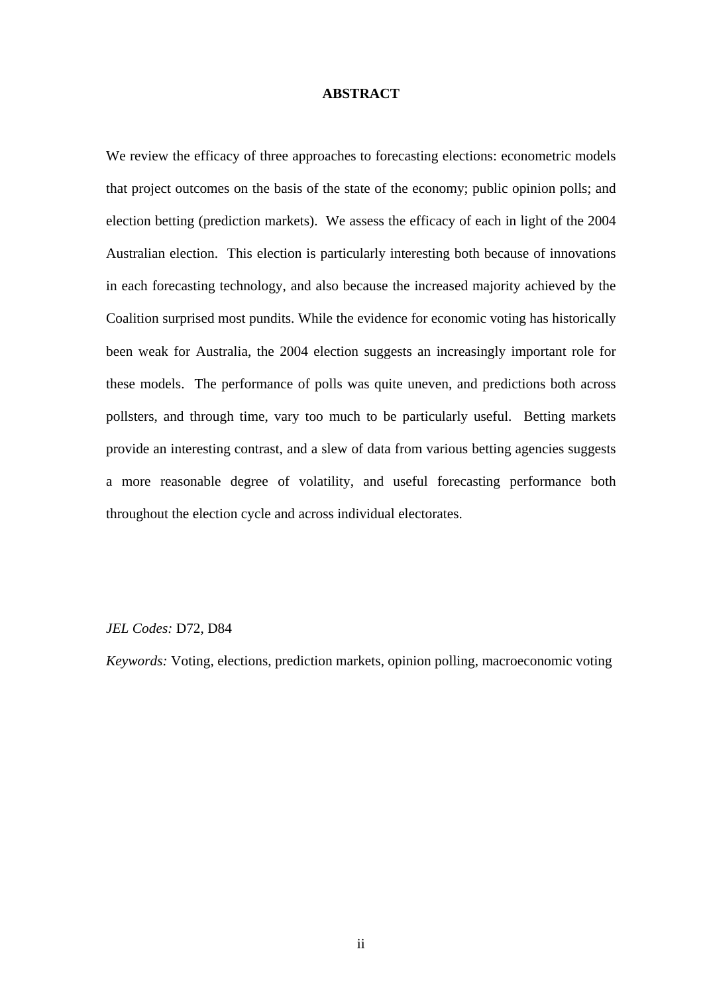## **ABSTRACT**

We review the efficacy of three approaches to forecasting elections: econometric models that project outcomes on the basis of the state of the economy; public opinion polls; and election betting (prediction markets). We assess the efficacy of each in light of the 2004 Australian election. This election is particularly interesting both because of innovations in each forecasting technology, and also because the increased majority achieved by the Coalition surprised most pundits. While the evidence for economic voting has historically been weak for Australia, the 2004 election suggests an increasingly important role for these models. The performance of polls was quite uneven, and predictions both across pollsters, and through time, vary too much to be particularly useful. Betting markets provide an interesting contrast, and a slew of data from various betting agencies suggests a more reasonable degree of volatility, and useful forecasting performance both throughout the election cycle and across individual electorates.

# *JEL Codes:* D72, D84

*Keywords:* Voting, elections, prediction markets, opinion polling, macroeconomic voting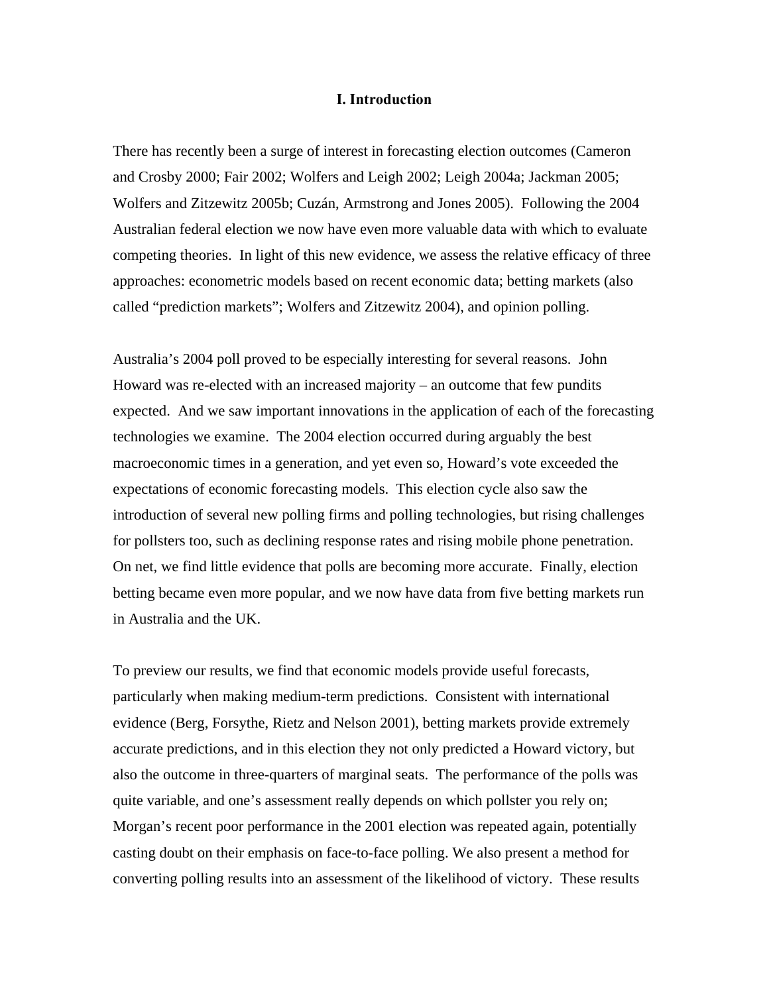### **I. Introduction**

There has recently been a surge of interest in forecasting election outcomes (Cameron and Crosby 2000; Fair 2002; Wolfers and Leigh 2002; Leigh 2004a; Jackman 2005; Wolfers and Zitzewitz 2005b; Cuzán, Armstrong and Jones 2005). Following the 2004 Australian federal election we now have even more valuable data with which to evaluate competing theories. In light of this new evidence, we assess the relative efficacy of three approaches: econometric models based on recent economic data; betting markets (also called "prediction markets"; Wolfers and Zitzewitz 2004), and opinion polling.

Australia's 2004 poll proved to be especially interesting for several reasons. John Howard was re-elected with an increased majority – an outcome that few pundits expected. And we saw important innovations in the application of each of the forecasting technologies we examine. The 2004 election occurred during arguably the best macroeconomic times in a generation, and yet even so, Howard's vote exceeded the expectations of economic forecasting models. This election cycle also saw the introduction of several new polling firms and polling technologies, but rising challenges for pollsters too, such as declining response rates and rising mobile phone penetration. On net, we find little evidence that polls are becoming more accurate. Finally, election betting became even more popular, and we now have data from five betting markets run in Australia and the UK.

To preview our results, we find that economic models provide useful forecasts, particularly when making medium-term predictions. Consistent with international evidence (Berg, Forsythe, Rietz and Nelson 2001), betting markets provide extremely accurate predictions, and in this election they not only predicted a Howard victory, but also the outcome in three-quarters of marginal seats. The performance of the polls was quite variable, and one's assessment really depends on which pollster you rely on; Morgan's recent poor performance in the 2001 election was repeated again, potentially casting doubt on their emphasis on face-to-face polling. We also present a method for converting polling results into an assessment of the likelihood of victory. These results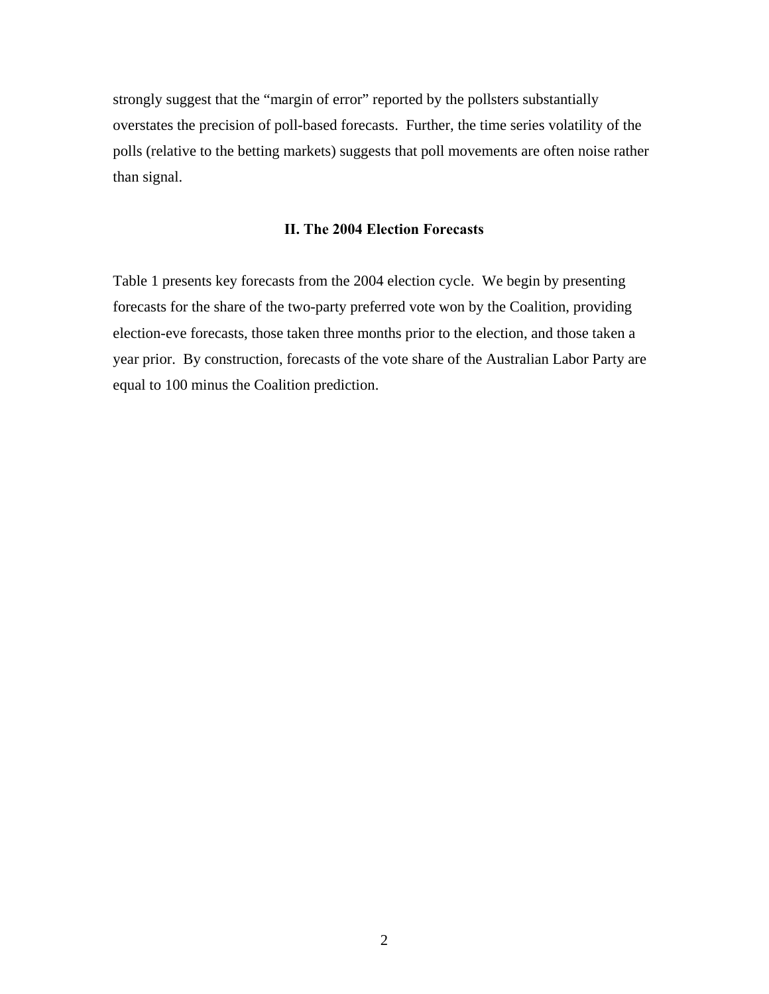strongly suggest that the "margin of error" reported by the pollsters substantially overstates the precision of poll-based forecasts. Further, the time series volatility of the polls (relative to the betting markets) suggests that poll movements are often noise rather than signal.

# **II. The 2004 Election Forecasts**

Table 1 presents key forecasts from the 2004 election cycle. We begin by presenting forecasts for the share of the two-party preferred vote won by the Coalition, providing election-eve forecasts, those taken three months prior to the election, and those taken a year prior. By construction, forecasts of the vote share of the Australian Labor Party are equal to 100 minus the Coalition prediction.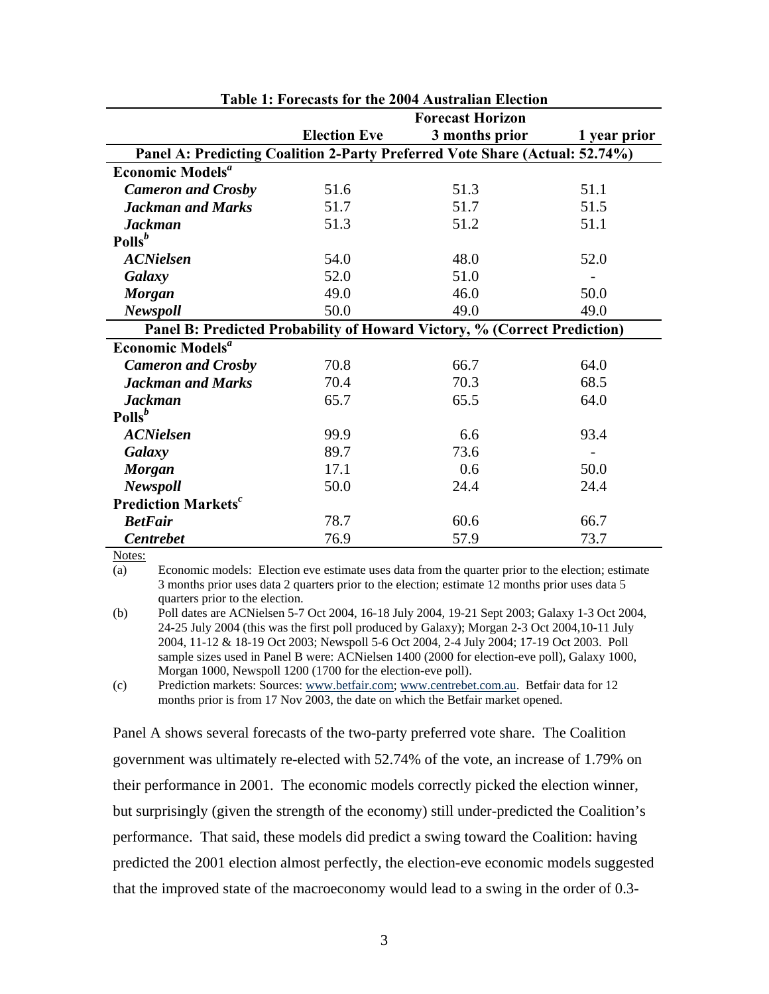|                                                                          | <b>Forecast Horizon</b>                                                     |                |              |  |  |  |
|--------------------------------------------------------------------------|-----------------------------------------------------------------------------|----------------|--------------|--|--|--|
|                                                                          | <b>Election Eve</b>                                                         | 3 months prior | 1 year prior |  |  |  |
|                                                                          | Panel A: Predicting Coalition 2-Party Preferred Vote Share (Actual: 52.74%) |                |              |  |  |  |
| <b>Economic Models<sup>a</sup></b>                                       |                                                                             |                |              |  |  |  |
| <b>Cameron and Crosby</b>                                                | 51.6                                                                        | 51.3           | 51.1         |  |  |  |
| <b>Jackman and Marks</b>                                                 | 51.7                                                                        | 51.7           | 51.5         |  |  |  |
| <b>Jackman</b>                                                           | 51.3                                                                        | 51.2           | 51.1         |  |  |  |
| $Polls^b$                                                                |                                                                             |                |              |  |  |  |
| <b>ACNielsen</b>                                                         | 54.0                                                                        | 48.0           | 52.0         |  |  |  |
| Galaxy                                                                   | 52.0                                                                        | 51.0           |              |  |  |  |
| <b>Morgan</b>                                                            | 49.0                                                                        | 46.0           | 50.0         |  |  |  |
| <b>Newspoll</b>                                                          | 50.0                                                                        | 49.0           | 49.0         |  |  |  |
| Panel B: Predicted Probability of Howard Victory, % (Correct Prediction) |                                                                             |                |              |  |  |  |
| Economic Models <sup>a</sup>                                             |                                                                             |                |              |  |  |  |
| <b>Cameron and Crosby</b>                                                | 70.8                                                                        | 66.7           | 64.0         |  |  |  |
| <b>Jackman and Marks</b>                                                 | 70.4                                                                        | 70.3           | 68.5         |  |  |  |
| <b>Jackman</b>                                                           | 65.7                                                                        | 65.5           | 64.0         |  |  |  |
| $\text{Polls}^b$                                                         |                                                                             |                |              |  |  |  |
| <b>ACNielsen</b>                                                         | 99.9                                                                        | 6.6            | 93.4         |  |  |  |
| Galaxy                                                                   | 89.7                                                                        | 73.6           |              |  |  |  |
| <b>Morgan</b>                                                            | 17.1                                                                        | 0.6            | 50.0         |  |  |  |
| <b>Newspoll</b>                                                          | 50.0                                                                        | 24.4           | 24.4         |  |  |  |
| <b>Prediction Markets<sup>c</sup></b>                                    |                                                                             |                |              |  |  |  |
| <b>BetFair</b>                                                           | 78.7                                                                        | 60.6           | 66.7         |  |  |  |
| <b>Centrebet</b>                                                         | 76.9                                                                        | 57.9           | 73.7         |  |  |  |

**Table 1: Forecasts for the 2004 Australian Election** 

Notes:

(a) Economic models: Election eve estimate uses data from the quarter prior to the election; estimate 3 months prior uses data 2 quarters prior to the election; estimate 12 months prior uses data 5 quarters prior to the election.

(b) Poll dates are ACNielsen 5-7 Oct 2004, 16-18 July 2004, 19-21 Sept 2003; Galaxy 1-3 Oct 2004, 24-25 July 2004 (this was the first poll produced by Galaxy); Morgan 2-3 Oct 2004,10-11 July 2004, 11-12 & 18-19 Oct 2003; Newspoll 5-6 Oct 2004, 2-4 July 2004; 17-19 Oct 2003. Poll sample sizes used in Panel B were: ACNielsen 1400 (2000 for election-eve poll), Galaxy 1000, Morgan 1000, Newspoll 1200 (1700 for the election-eve poll).

(c) Prediction markets: Sources: [www.betfair.com;](http://www.betfair.com/) [www.centrebet.com.au](http://www.centrebet.com.au/). Betfair data for 12 months prior is from 17 Nov 2003, the date on which the Betfair market opened.

Panel A shows several forecasts of the two-party preferred vote share. The Coalition government was ultimately re-elected with 52.74% of the vote, an increase of 1.79% on their performance in 2001. The economic models correctly picked the election winner, but surprisingly (given the strength of the economy) still under-predicted the Coalition's performance. That said, these models did predict a swing toward the Coalition: having predicted the 2001 election almost perfectly, the election-eve economic models suggested that the improved state of the macroeconomy would lead to a swing in the order of 0.3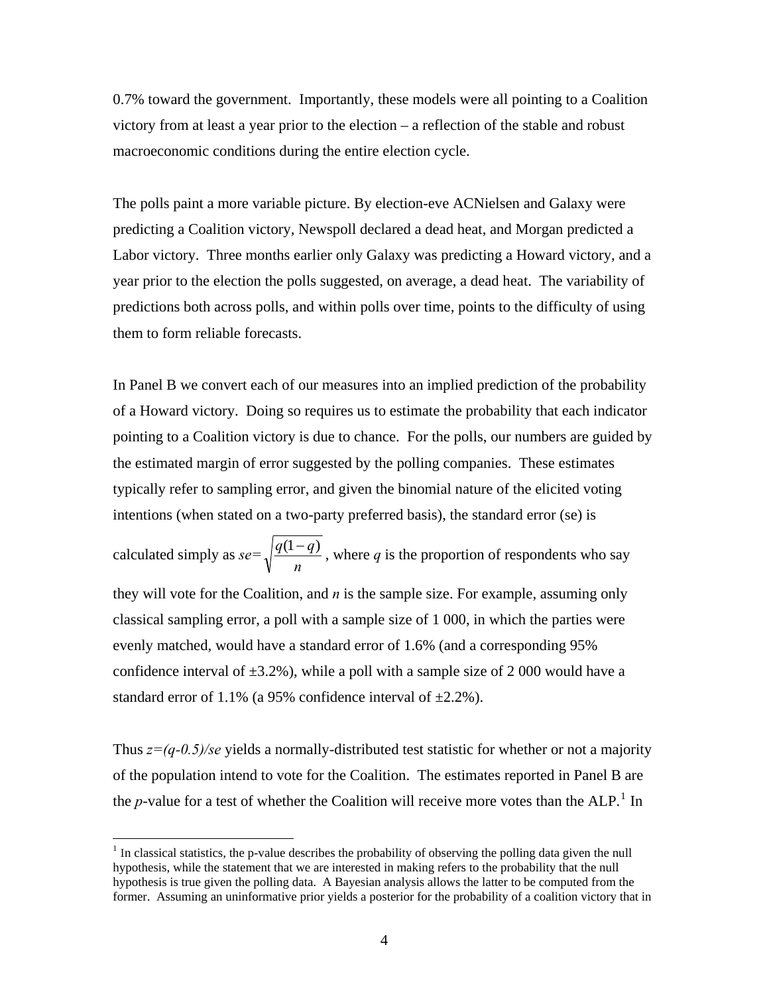0.7% toward the government. Importantly, these models were all pointing to a Coalition victory from at least a year prior to the election – a reflection of the stable and robust macroeconomic conditions during the entire election cycle.

The polls paint a more variable picture. By election-eve ACNielsen and Galaxy were predicting a Coalition victory, Newspoll declared a dead heat, and Morgan predicted a Labor victory. Three months earlier only Galaxy was predicting a Howard victory, and a year prior to the election the polls suggested, on average, a dead heat. The variability of predictions both across polls, and within polls over time, points to the difficulty of using them to form reliable forecasts.

In Panel B we convert each of our measures into an implied prediction of the probability of a Howard victory. Doing so requires us to estimate the probability that each indicator pointing to a Coalition victory is due to chance. For the polls, our numbers are guided by the estimated margin of error suggested by the polling companies. These estimates typically refer to sampling error, and given the binomial nature of the elicited voting intentions (when stated on a two-party preferred basis), the standard error (se) is

calculated simply as *se= n*  $\frac{q(1-q)}{q(1-q)}$ , where *q* is the proportion of respondents who say they will vote for the Coalition, and *n* is the sample size. For example, assuming only classical sampling error, a poll with a sample size of 1 000, in which the parties were evenly matched, would have a standard error of 1.6% (and a corresponding 95% confidence interval of  $\pm 3.2\%$ ), while a poll with a sample size of 2 000 would have a standard error of 1.1% (a 95% confidence interval of  $\pm 2.2$ %).

Thus *z=(q-0.5)/se* yields a normally-distributed test statistic for whether or not a majority of the population intend to vote for the Coalition. The estimates reported in Panel B are the *p*-value for a test of whether the Coalition will receive more votes than the ALP.<sup>[1](#page-5-0)</sup> In

<span id="page-5-0"></span> $1$  In classical statistics, the p-value describes the probability of observing the polling data given the null hypothesis, while the statement that we are interested in making refers to the probability that the null hypothesis is true given the polling data. A Bayesian analysis allows the latter to be computed from the former. Assuming an uninformative prior yields a posterior for the probability of a coalition victory that in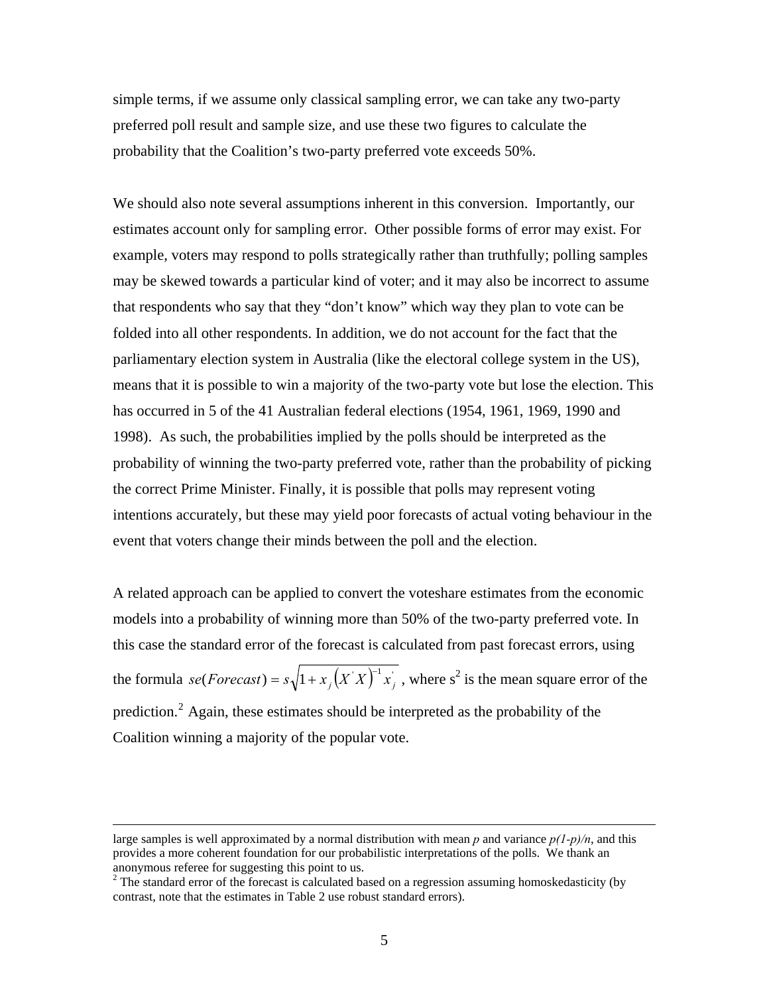simple terms, if we assume only classical sampling error, we can take any two-party preferred poll result and sample size, and use these two figures to calculate the probability that the Coalition's two-party preferred vote exceeds 50%.

We should also note several assumptions inherent in this conversion. Importantly, our estimates account only for sampling error. Other possible forms of error may exist. For example, voters may respond to polls strategically rather than truthfully; polling samples may be skewed towards a particular kind of voter; and it may also be incorrect to assume that respondents who say that they "don't know" which way they plan to vote can be folded into all other respondents. In addition, we do not account for the fact that the parliamentary election system in Australia (like the electoral college system in the US), means that it is possible to win a majority of the two-party vote but lose the election. This has occurred in 5 of the 41 Australian federal elections (1954, 1961, 1969, 1990 and 1998). As such, the probabilities implied by the polls should be interpreted as the probability of winning the two-party preferred vote, rather than the probability of picking the correct Prime Minister. Finally, it is possible that polls may represent voting intentions accurately, but these may yield poor forecasts of actual voting behaviour in the event that voters change their minds between the poll and the election.

A related approach can be applied to convert the voteshare estimates from the economic models into a probability of winning more than 50% of the two-party preferred vote. In this case the standard error of the forecast is calculated from past forecast errors, using the formula  $se(Forecast) = s\sqrt{1 + x_j(X^T X)^{-1} x_j}$ , where s<sup>2</sup> is the mean square error of the prediction.<sup>[2](#page-6-0)</sup> Again, these estimates should be interpreted as the probability of the Coalition winning a majority of the popular vote.

large samples is well approximated by a normal distribution with mean  $p$  and variance  $p(1-p)/n$ , and this provides a more coherent foundation for our probabilistic interpretations of the polls. We thank an anonymous referee for suggesting this point to us.

<span id="page-6-0"></span> $2^2$  The standard error of the forecast is calculated based on a regression assuming homoskedasticity (by contrast, note that the estimates in Table 2 use robust standard errors).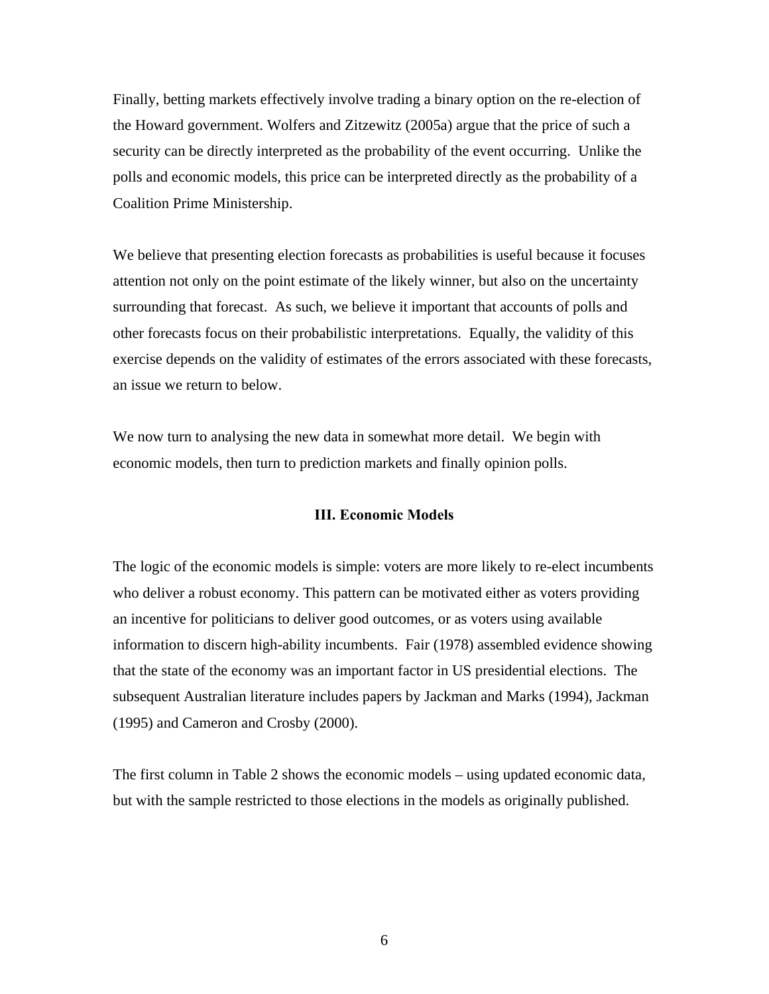Finally, betting markets effectively involve trading a binary option on the re-election of the Howard government. Wolfers and Zitzewitz (2005a) argue that the price of such a security can be directly interpreted as the probability of the event occurring. Unlike the polls and economic models, this price can be interpreted directly as the probability of a Coalition Prime Ministership.

We believe that presenting election forecasts as probabilities is useful because it focuses attention not only on the point estimate of the likely winner, but also on the uncertainty surrounding that forecast. As such, we believe it important that accounts of polls and other forecasts focus on their probabilistic interpretations. Equally, the validity of this exercise depends on the validity of estimates of the errors associated with these forecasts, an issue we return to below.

We now turn to analysing the new data in somewhat more detail. We begin with economic models, then turn to prediction markets and finally opinion polls.

## **III. Economic Models**

The logic of the economic models is simple: voters are more likely to re-elect incumbents who deliver a robust economy. This pattern can be motivated either as voters providing an incentive for politicians to deliver good outcomes, or as voters using available information to discern high-ability incumbents. Fair (1978) assembled evidence showing that the state of the economy was an important factor in US presidential elections. The subsequent Australian literature includes papers by Jackman and Marks (1994), Jackman (1995) and Cameron and Crosby (2000).

The first column in Table 2 shows the economic models – using updated economic data, but with the sample restricted to those elections in the models as originally published.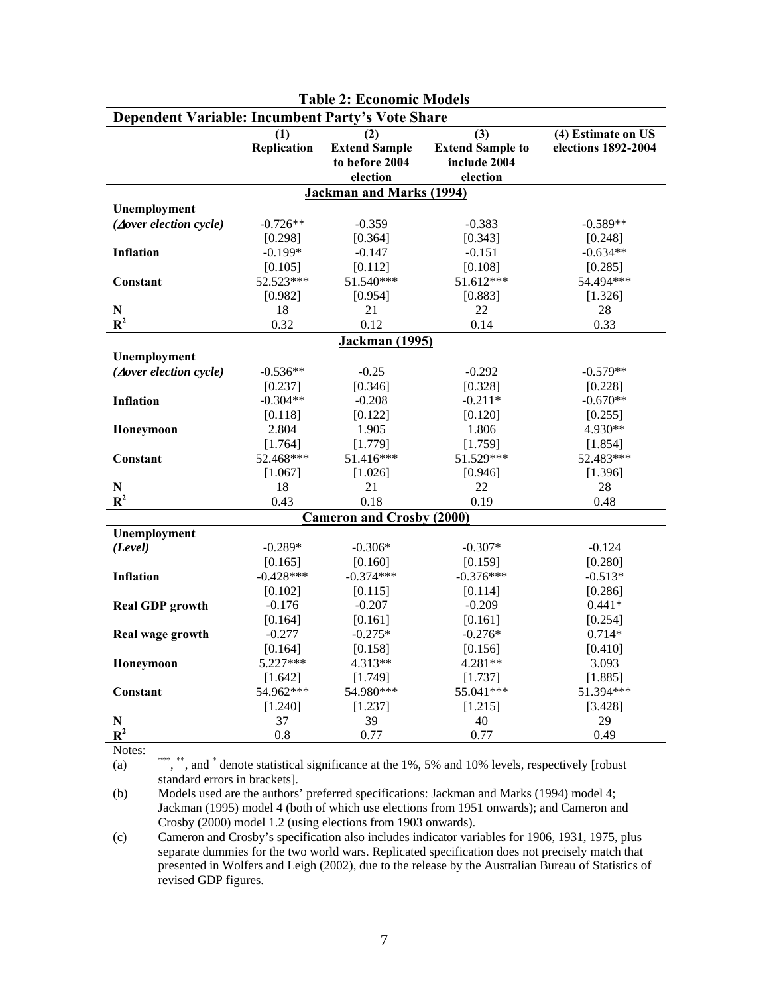| <b>Dependent Variable: Incumbent Party's Vote Share</b> |                    |                                  |                         |                     |  |  |
|---------------------------------------------------------|--------------------|----------------------------------|-------------------------|---------------------|--|--|
|                                                         | (1)                | (2)                              | (3)                     | (4) Estimate on US  |  |  |
|                                                         | <b>Replication</b> | <b>Extend Sample</b>             | <b>Extend Sample to</b> | elections 1892-2004 |  |  |
|                                                         |                    | to before 2004                   | include 2004            |                     |  |  |
|                                                         |                    | election                         | election                |                     |  |  |
|                                                         |                    | <b>Jackman and Marks (1994)</b>  |                         |                     |  |  |
| Unemployment                                            |                    |                                  |                         |                     |  |  |
| $(\Delta$ over election cycle)                          | $-0.726**$         | $-0.359$                         | $-0.383$                | $-0.589**$          |  |  |
|                                                         | [0.298]            | [0.364]                          | [0.343]                 | [0.248]             |  |  |
| <b>Inflation</b>                                        | $-0.199*$          | $-0.147$                         | $-0.151$                | $-0.634**$          |  |  |
|                                                         | [0.105]            | [0.112]                          | [0.108]                 | [0.285]             |  |  |
| Constant                                                | 52.523***          | 51.540***                        | 51.612***               | 54.494***           |  |  |
|                                                         | [0.982]            | [0.954]                          | [0.883]                 | [1.326]             |  |  |
| ${\bf N}$                                               | 18                 | 21                               | 22                      | 28                  |  |  |
| $\mathbb{R}^2$                                          | 0.32               | 0.12                             | 0.14                    | 0.33                |  |  |
|                                                         |                    | <b>Jackman</b> (1995)            |                         |                     |  |  |
| Unemployment                                            |                    |                                  |                         |                     |  |  |
| $(\Delta over \, electronic)$                           | $-0.536**$         | $-0.25$                          | $-0.292$                | $-0.579**$          |  |  |
|                                                         | [0.237]            | [0.346]                          | [0.328]                 | [0.228]             |  |  |
| <b>Inflation</b>                                        | $-0.304**$         | $-0.208$                         | $-0.211*$               | $-0.670**$          |  |  |
|                                                         | [0.118]            | [0.122]                          | [0.120]                 | [0.255]             |  |  |
| Honeymoon                                               | 2.804              | 1.905                            | 1.806                   | 4.930**             |  |  |
|                                                         | [1.764]            | [1.779]                          | [1.759]                 | [1.854]             |  |  |
| Constant                                                | 52.468***          | 51.416***                        | 51.529***               | 52.483***           |  |  |
|                                                         | [1.067]            | [1.026]                          | [0.946]                 | [1.396]             |  |  |
| ${\bf N}$                                               | 18                 | 21                               | 22                      | 28                  |  |  |
| $\mathbb{R}^2$                                          | 0.43               | 0.18                             | 0.19                    | 0.48                |  |  |
|                                                         |                    | <b>Cameron and Crosby (2000)</b> |                         |                     |  |  |
| Unemployment                                            |                    |                                  |                         |                     |  |  |
| (Level)                                                 | $-0.289*$          | $-0.306*$                        | $-0.307*$               | $-0.124$            |  |  |
|                                                         | [0.165]            | [0.160]                          | [0.159]                 | [0.280]             |  |  |
| <b>Inflation</b>                                        | $-0.428***$        | $-0.374***$                      | $-0.376***$             | $-0.513*$           |  |  |
|                                                         | [0.102]            | [0.115]                          | [0.114]                 | [0.286]             |  |  |
| <b>Real GDP</b> growth                                  | $-0.176$           | $-0.207$                         | $-0.209$                | $0.441*$            |  |  |
|                                                         | [0.164]            | [0.161]                          | [0.161]                 | [0.254]             |  |  |
| Real wage growth                                        | $-0.277$           | $-0.275*$                        | $-0.276*$               | $0.714*$            |  |  |
|                                                         | [0.164]            | [0.158]                          | [0.156]                 | [0.410]             |  |  |
| Honeymoon                                               | $5.227***$         | 4.313**                          | 4.281**                 | 3.093               |  |  |
|                                                         | [1.642]            | [1.749]                          | [1.737]                 | [1.885]             |  |  |
| Constant                                                | 54.962***          | 54.980***                        | 55.041***               | 51.394***           |  |  |
|                                                         | [1.240]            | [1.237]                          | [1.215]                 | [3.428]             |  |  |
| N                                                       | 37                 | 39                               | 40                      | 29                  |  |  |
| $\mathbb{R}^2$<br><b>AT</b>                             | 0.8                | 0.77                             | 0.77                    | 0.49                |  |  |

# **Table 2: Economic Models**

Notes:

(a) \*\*\*, \*\*, and \* denote statistical significance at the 1%, 5% and 10% levels, respectively [robust standard errors in brackets].

(b) Models used are the authors' preferred specifications: Jackman and Marks (1994) model 4; Jackman (1995) model 4 (both of which use elections from 1951 onwards); and Cameron and Crosby (2000) model 1.2 (using elections from 1903 onwards).

(c) Cameron and Crosby's specification also includes indicator variables for 1906, 1931, 1975, plus separate dummies for the two world wars. Replicated specification does not precisely match that presented in Wolfers and Leigh (2002), due to the release by the Australian Bureau of Statistics of revised GDP figures.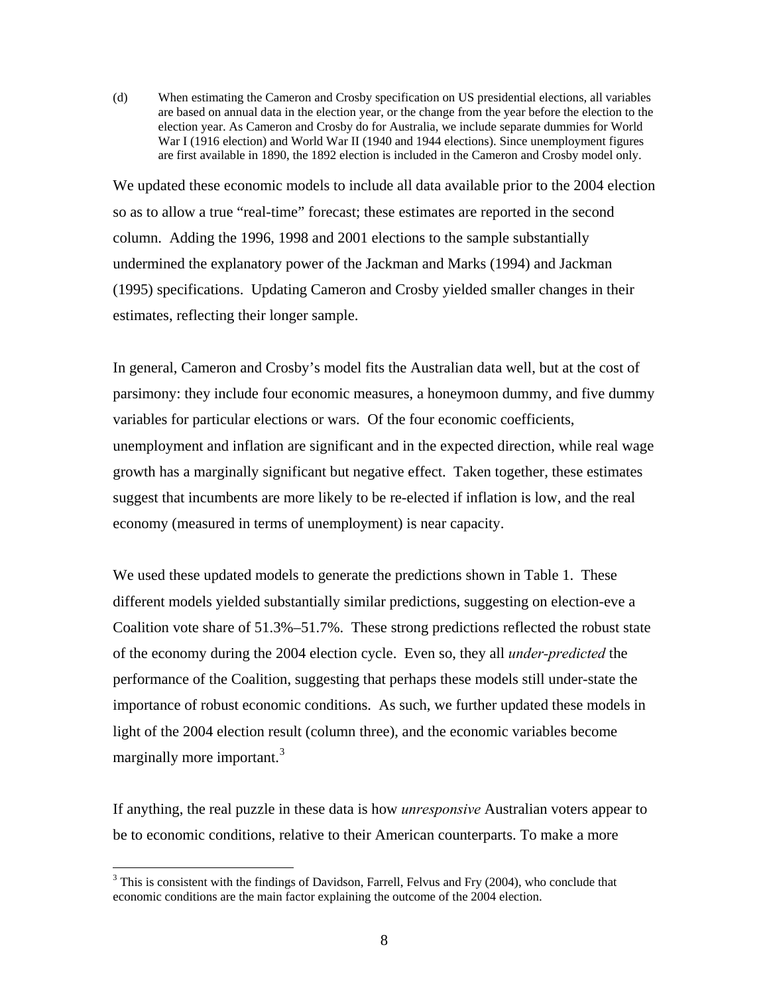(d) When estimating the Cameron and Crosby specification on US presidential elections, all variables are based on annual data in the election year, or the change from the year before the election to the election year. As Cameron and Crosby do for Australia, we include separate dummies for World War I (1916 election) and World War II (1940 and 1944 elections). Since unemployment figures are first available in 1890, the 1892 election is included in the Cameron and Crosby model only.

We updated these economic models to include all data available prior to the 2004 election so as to allow a true "real-time" forecast; these estimates are reported in the second column. Adding the 1996, 1998 and 2001 elections to the sample substantially undermined the explanatory power of the Jackman and Marks (1994) and Jackman (1995) specifications. Updating Cameron and Crosby yielded smaller changes in their estimates, reflecting their longer sample.

In general, Cameron and Crosby's model fits the Australian data well, but at the cost of parsimony: they include four economic measures, a honeymoon dummy, and five dummy variables for particular elections or wars. Of the four economic coefficients, unemployment and inflation are significant and in the expected direction, while real wage growth has a marginally significant but negative effect. Taken together, these estimates suggest that incumbents are more likely to be re-elected if inflation is low, and the real economy (measured in terms of unemployment) is near capacity.

We used these updated models to generate the predictions shown in Table 1. These different models yielded substantially similar predictions, suggesting on election-eve a Coalition vote share of 51.3%–51.7%. These strong predictions reflected the robust state of the economy during the 2004 election cycle. Even so, they all *under-predicted* the performance of the Coalition, suggesting that perhaps these models still under-state the importance of robust economic conditions. As such, we further updated these models in light of the 2004 election result (column three), and the economic variables become marginally more important.<sup>[3](#page-9-0)</sup>

If anything, the real puzzle in these data is how *unresponsive* Australian voters appear to be to economic conditions, relative to their American counterparts. To make a more

<span id="page-9-0"></span> $3$  This is consistent with the findings of Davidson, Farrell, Felvus and Fry (2004), who conclude that economic conditions are the main factor explaining the outcome of the 2004 election.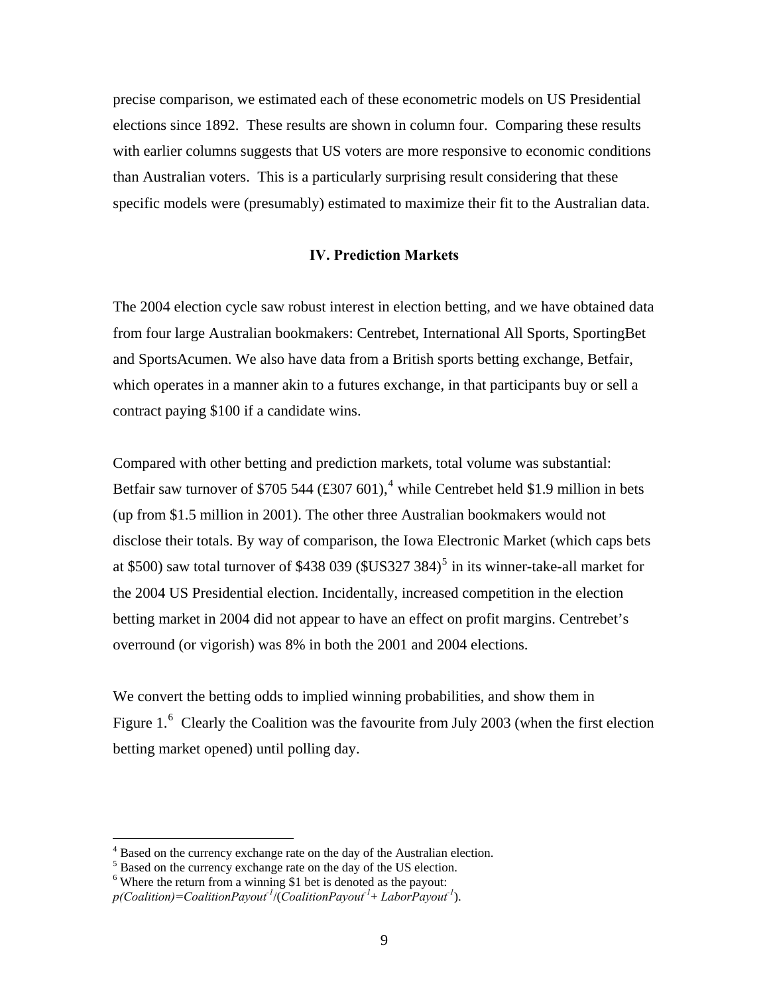precise comparison, we estimated each of these econometric models on US Presidential elections since 1892. These results are shown in column four. Comparing these results with earlier columns suggests that US voters are more responsive to economic conditions than Australian voters. This is a particularly surprising result considering that these specific models were (presumably) estimated to maximize their fit to the Australian data.

## **IV. Prediction Markets**

The 2004 election cycle saw robust interest in election betting, and we have obtained data from four large Australian bookmakers: Centrebet, International All Sports, SportingBet and SportsAcumen. We also have data from a British sports betting exchange, Betfair, which operates in a manner akin to a futures exchange, in that participants buy or sell a contract paying \$100 if a candidate wins.

Compared with other betting and prediction markets, total volume was substantial: Betfair saw turnover of \$705 5[4](#page-10-0)4  $(\text{\textsterling}307 601)$ ,<sup>4</sup> while Centrebet held \$1.9 million in bets (up from \$1.5 million in 2001). The other three Australian bookmakers would not disclose their totals. By way of comparison, the Iowa Electronic Market (which caps bets at \$[5](#page-10-1)00) saw total turnover of \$438 039 (\$US327 384)<sup>5</sup> in its winner-take-all market for the 2004 US Presidential election. Incidentally, increased competition in the election betting market in 2004 did not appear to have an effect on profit margins. Centrebet's overround (or vigorish) was 8% in both the 2001 and 2004 elections.

We convert the betting odds to implied winning probabilities, and show them in Figure 1.<sup>[6](#page-10-2)</sup> Clearly the Coalition was the favourite from July 2003 (when the first election betting market opened) until polling day.

<sup>&</sup>lt;sup>4</sup><br><sup>4</sup> Based on the currency exchange rate on the day of the Australian election.

<span id="page-10-1"></span><span id="page-10-0"></span>Based on the currency exchange rate on the day of the US election.

 $6$  Where the return from a winning \$1 bet is denoted as the payout:

<span id="page-10-2"></span>*p(Coalition)=CoalitionPayout-1*/(*CoalitionPayout-1*+ *LaborPayout-1*).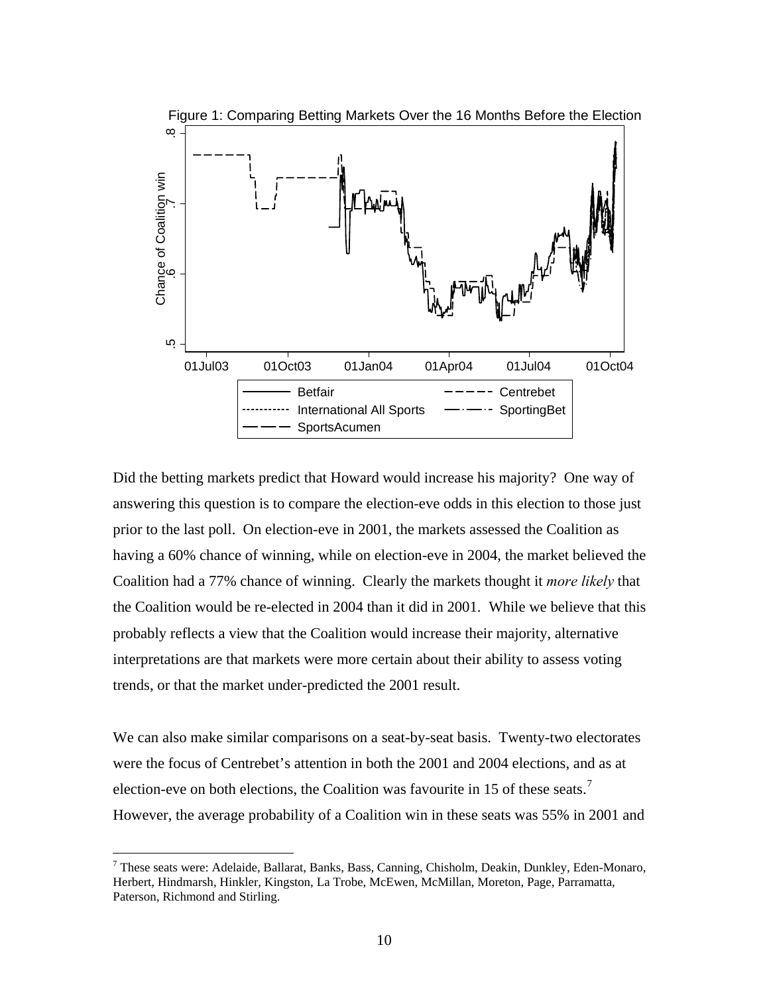

Did the betting markets predict that Howard would increase his majority? One way of answering this question is to compare the election-eve odds in this election to those just prior to the last poll. On election-eve in 2001, the markets assessed the Coalition as having a 60% chance of winning, while on election-eve in 2004, the market believed the Coalition had a 77% chance of winning. Clearly the markets thought it *more likely* that the Coalition would be re-elected in 2004 than it did in 2001. While we believe that this probably reflects a view that the Coalition would increase their majority, alternative interpretations are that markets were more certain about their ability to assess voting trends, or that the market under-predicted the 2001 result.

We can also make similar comparisons on a seat-by-seat basis. Twenty-two electorates were the focus of Centrebet's attention in both the 2001 and 2004 elections, and as at election-eve on both elections, the Coalition was favourite in 15 of these seats.<sup>[7](#page-11-0)</sup> However, the average probability of a Coalition win in these seats was 55% in 2001 and

<span id="page-11-0"></span><sup>&</sup>lt;sup>7</sup> These seats were: Adelaide, Ballarat, Banks, Bass, Canning, Chisholm, Deakin, Dunkley, Eden-Monaro, Herbert, Hindmarsh, Hinkler, Kingston, La Trobe, McEwen, McMillan, Moreton, Page, Parramatta, Paterson, Richmond and Stirling.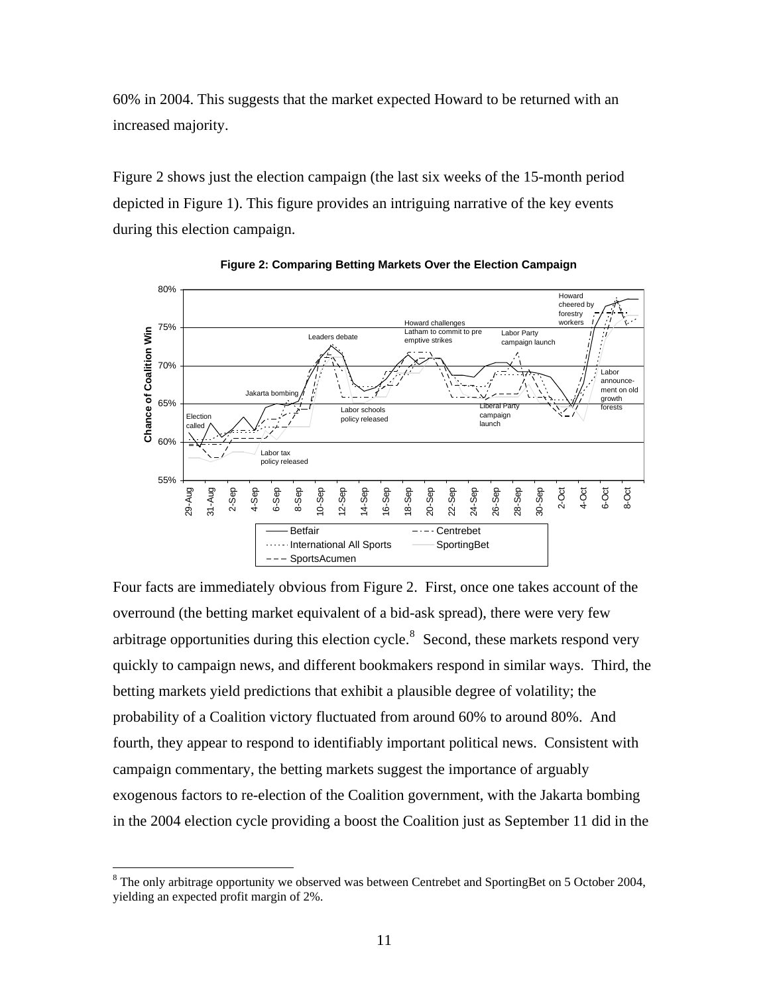60% in 2004. This suggests that the market expected Howard to be returned with an increased majority.

Figure 2 shows just the election campaign (the last six weeks of the 15-month period depicted in Figure 1). This figure provides an intriguing narrative of the key events during this election campaign.





Four facts are immediately obvious from Figure 2. First, once one takes account of the overround (the betting market equivalent of a bid-ask spread), there were very few arbitrage opportunities during this election cycle.<sup>[8](#page-12-0)</sup> Second, these markets respond very quickly to campaign news, and different bookmakers respond in similar ways. Third, the betting markets yield predictions that exhibit a plausible degree of volatility; the probability of a Coalition victory fluctuated from around 60% to around 80%. And fourth, they appear to respond to identifiably important political news. Consistent with campaign commentary, the betting markets suggest the importance of arguably exogenous factors to re-election of the Coalition government, with the Jakarta bombing in the 2004 election cycle providing a boost the Coalition just as September 11 did in the

<span id="page-12-0"></span> $8$  The only arbitrage opportunity we observed was between Centrebet and SportingBet on 5 October 2004, yielding an expected profit margin of 2%.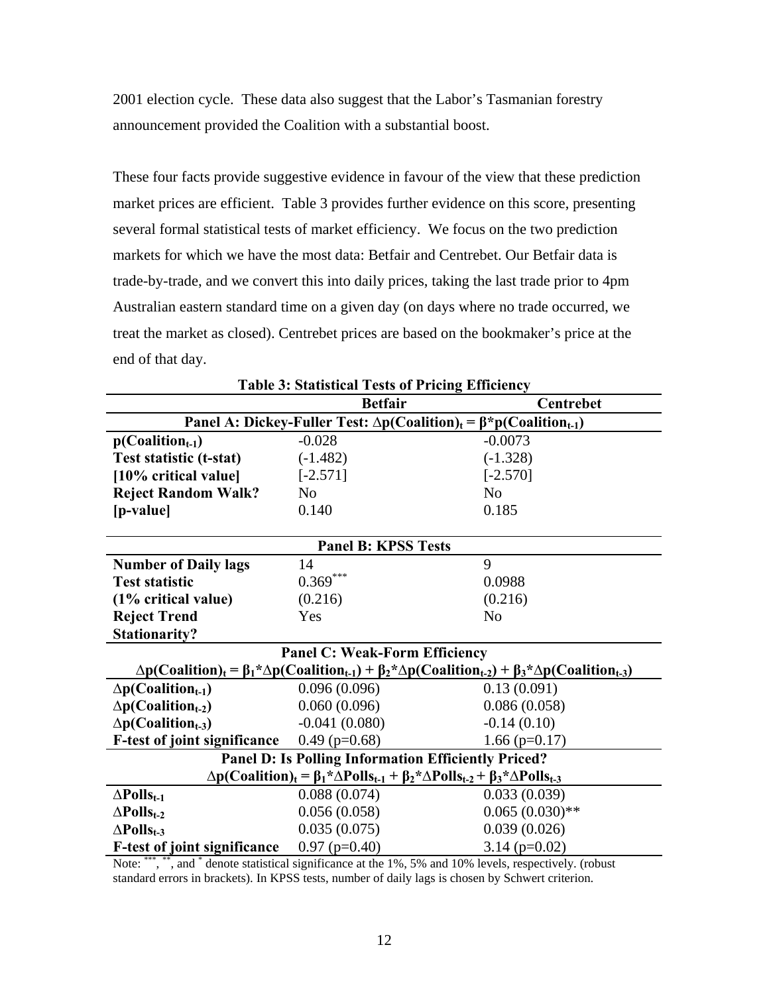2001 election cycle. These data also suggest that the Labor's Tasmanian forestry announcement provided the Coalition with a substantial boost.

These four facts provide suggestive evidence in favour of the view that these prediction market prices are efficient. Table 3 provides further evidence on this score, presenting several formal statistical tests of market efficiency. We focus on the two prediction markets for which we have the most data: Betfair and Centrebet. Our Betfair data is trade-by-trade, and we convert this into daily prices, taking the last trade prior to 4pm Australian eastern standard time on a given day (on days where no trade occurred, we treat the market as closed). Centrebet prices are based on the bookmaker's price at the end of that day.

| ne et suashear rests of Frieng Emiciene<br><b>Betfair</b><br>Centrebet                                                              |                                                                                                          |                   |  |  |  |  |
|-------------------------------------------------------------------------------------------------------------------------------------|----------------------------------------------------------------------------------------------------------|-------------------|--|--|--|--|
|                                                                                                                                     | Panel A: Dickey-Fuller Test: $\Delta p$ (Coalition) <sub>t</sub> = $\beta$ *p(Coalition <sub>t-1</sub> ) |                   |  |  |  |  |
| $p(Coalitiont-1)$                                                                                                                   | $-0.028$                                                                                                 | $-0.0073$         |  |  |  |  |
| Test statistic (t-stat)                                                                                                             | $(-1.482)$                                                                                               | $(-1.328)$        |  |  |  |  |
| [10% critical value]                                                                                                                | $[-2.571]$                                                                                               | $[-2.570]$        |  |  |  |  |
| <b>Reject Random Walk?</b>                                                                                                          | N <sub>o</sub>                                                                                           | N <sub>0</sub>    |  |  |  |  |
| [p-value]                                                                                                                           | 0.140                                                                                                    | 0.185             |  |  |  |  |
|                                                                                                                                     |                                                                                                          |                   |  |  |  |  |
| <b>Panel B: KPSS Tests</b>                                                                                                          |                                                                                                          |                   |  |  |  |  |
| <b>Number of Daily lags</b>                                                                                                         | 14                                                                                                       | 9                 |  |  |  |  |
| <b>Test statistic</b>                                                                                                               | $0.369***$                                                                                               | 0.0988            |  |  |  |  |
| (1% critical value)                                                                                                                 | (0.216)                                                                                                  | (0.216)           |  |  |  |  |
| <b>Reject Trend</b>                                                                                                                 | Yes                                                                                                      | N <sub>o</sub>    |  |  |  |  |
| <b>Stationarity?</b>                                                                                                                |                                                                                                          |                   |  |  |  |  |
| <b>Panel C: Weak-Form Efficiency</b>                                                                                                |                                                                                                          |                   |  |  |  |  |
| $\Delta p(Coalition)_t = \beta_1 \Delta p(Coalition_{t-1}) + \beta_2 \Delta p(Coalition_{t-2}) + \beta_3 \Delta p(Coalition_{t-3})$ |                                                                                                          |                   |  |  |  |  |
| $\Delta p$ (Coalition <sub>t-1</sub> )                                                                                              | 0.096(0.096)                                                                                             | 0.13(0.091)       |  |  |  |  |
| $\Delta p$ (Coalition <sub>t-2</sub> )                                                                                              | 0.060(0.096)                                                                                             | 0.086(0.058)      |  |  |  |  |
| $\Delta p$ (Coalition <sub>t-3</sub> )                                                                                              | $-0.041(0.080)$                                                                                          | $-0.14(0.10)$     |  |  |  |  |
| <b>F-test of joint significance</b>                                                                                                 | $0.49$ (p=0.68)                                                                                          | $1.66$ (p=0.17)   |  |  |  |  |
| <b>Panel D: Is Polling Information Efficiently Priced?</b>                                                                          |                                                                                                          |                   |  |  |  |  |
| $\Delta p(Coalition)_t = \beta_1^* \Delta P olls_{t-1} + \beta_2^* \Delta P olls_{t-2} + \beta_3^* \Delta P olls_{t-3}$             |                                                                                                          |                   |  |  |  |  |
| $\Delta$ Polls <sub>t-1</sub>                                                                                                       | 0.088(0.074)                                                                                             | 0.033(0.039)      |  |  |  |  |
| $\Delta$ Polls <sub>t-2</sub>                                                                                                       | 0.056(0.058)                                                                                             | $0.065(0.030)$ ** |  |  |  |  |
| $\Delta$ Polls <sub>t-3</sub>                                                                                                       | 0.035(0.075)                                                                                             | 0.039(0.026)      |  |  |  |  |
| <b>F-test of joint significance</b>                                                                                                 | $0.97$ (p=0.40)                                                                                          | $3.14$ (p=0.02)   |  |  |  |  |

|  |  |  |  |  | <b>Table 3: Statistical Tests of Pricing Efficiency</b> |
|--|--|--|--|--|---------------------------------------------------------|
|--|--|--|--|--|---------------------------------------------------------|

Note: \*\*\*, \*\*, and \* denote statistical significance at the 1%, 5% and 10% levels, respectively. (robust standard errors in brackets). In KPSS tests, number of daily lags is chosen by Schwert criterion.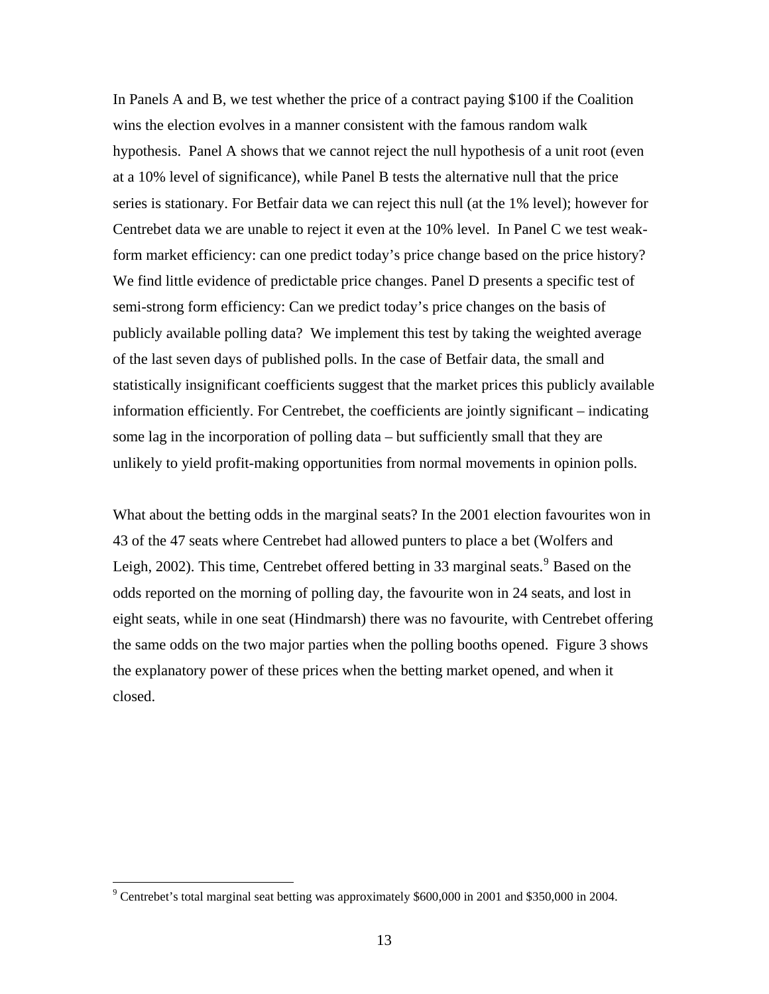In Panels A and B, we test whether the price of a contract paying \$100 if the Coalition wins the election evolves in a manner consistent with the famous random walk hypothesis. Panel A shows that we cannot reject the null hypothesis of a unit root (even at a 10% level of significance), while Panel B tests the alternative null that the price series is stationary. For Betfair data we can reject this null (at the 1% level); however for Centrebet data we are unable to reject it even at the 10% level. In Panel C we test weakform market efficiency: can one predict today's price change based on the price history? We find little evidence of predictable price changes. Panel D presents a specific test of semi-strong form efficiency: Can we predict today's price changes on the basis of publicly available polling data? We implement this test by taking the weighted average of the last seven days of published polls. In the case of Betfair data, the small and statistically insignificant coefficients suggest that the market prices this publicly available information efficiently. For Centrebet, the coefficients are jointly significant – indicating some lag in the incorporation of polling data – but sufficiently small that they are unlikely to yield profit-making opportunities from normal movements in opinion polls.

What about the betting odds in the marginal seats? In the 2001 election favourites won in 43 of the 47 seats where Centrebet had allowed punters to place a bet (Wolfers and Leigh, 2002). This time, Centrebet offered betting in 33 marginal seats.  $9^9$  $9^9$  Based on the odds reported on the morning of polling day, the favourite won in 24 seats, and lost in eight seats, while in one seat (Hindmarsh) there was no favourite, with Centrebet offering the same odds on the two major parties when the polling booths opened. Figure 3 shows the explanatory power of these prices when the betting market opened, and when it closed.

<span id="page-14-0"></span> $9^9$  Centrebet's total marginal seat betting was approximately \$600,000 in 2001 and \$350,000 in 2004.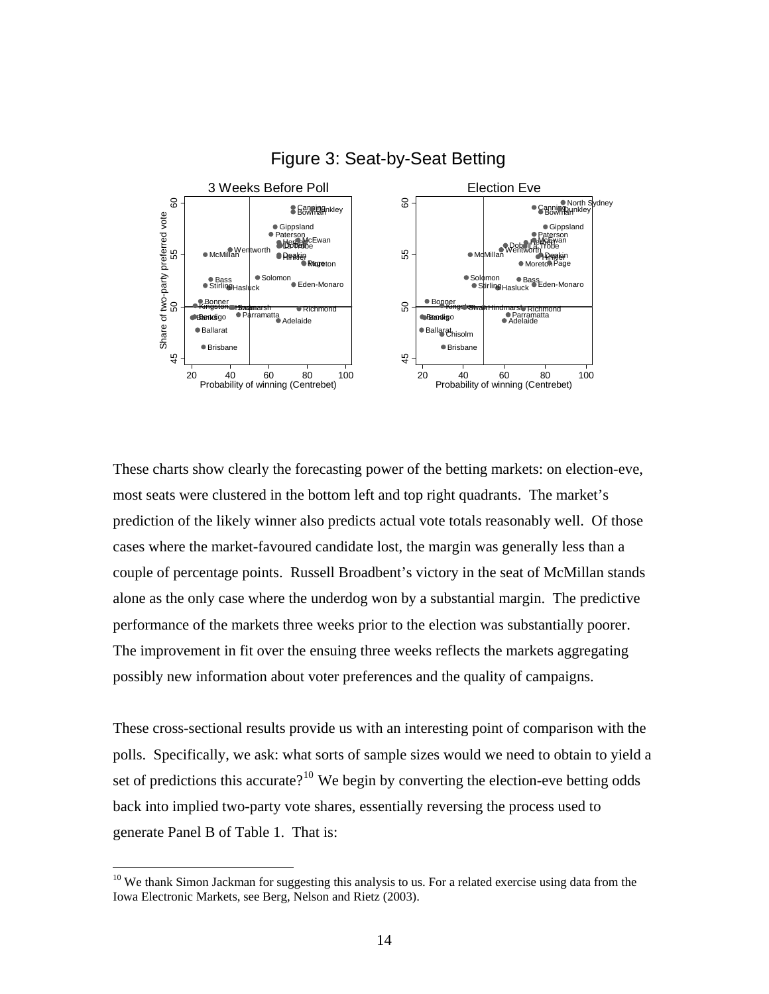

# Figure 3: Seat-by-Seat Betting

These charts show clearly the forecasting power of the betting markets: on election-eve, most seats were clustered in the bottom left and top right quadrants. The market's prediction of the likely winner also predicts actual vote totals reasonably well. Of those cases where the market-favoured candidate lost, the margin was generally less than a couple of percentage points. Russell Broadbent's victory in the seat of McMillan stands alone as the only case where the underdog won by a substantial margin. The predictive performance of the markets three weeks prior to the election was substantially poorer. The improvement in fit over the ensuing three weeks reflects the markets aggregating possibly new information about voter preferences and the quality of campaigns.

These cross-sectional results provide us with an interesting point of comparison with the polls. Specifically, we ask: what sorts of sample sizes would we need to obtain to yield a set of predictions this accurate?<sup>[10](#page-15-0)</sup> We begin by converting the election-eve betting odds back into implied two-party vote shares, essentially reversing the process used to generate Panel B of Table 1. That is:

<span id="page-15-0"></span><sup>&</sup>lt;sup>10</sup> We thank Simon Jackman for suggesting this analysis to us. For a related exercise using data from the Iowa Electronic Markets, see Berg, Nelson and Rietz (2003).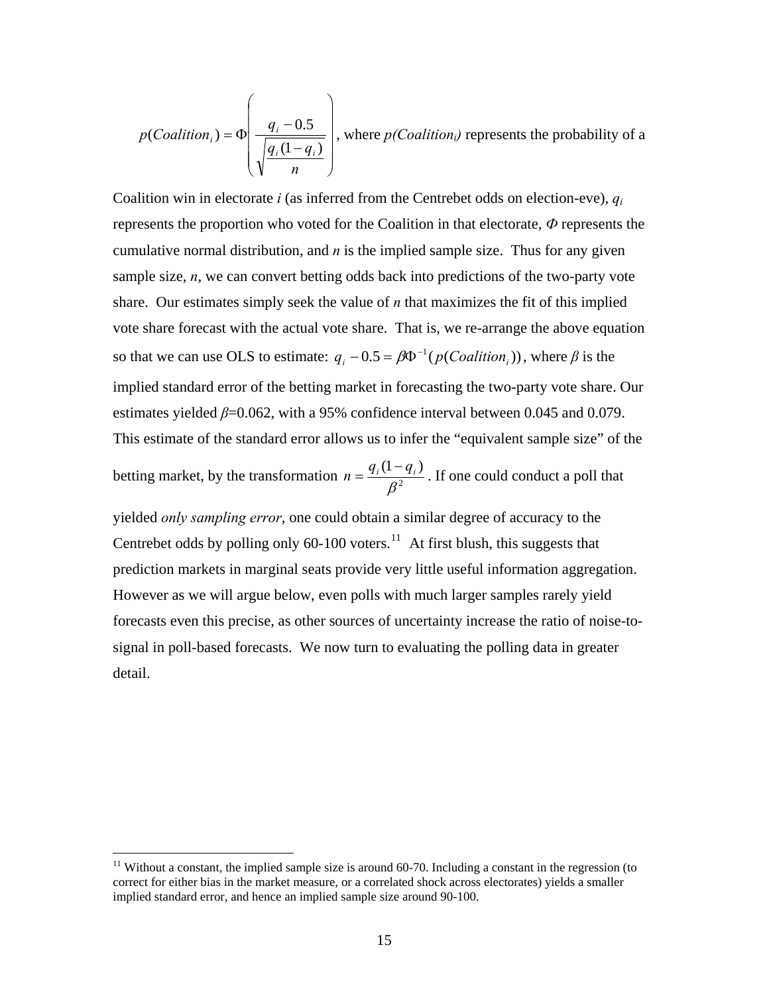$$
p(Coalition_i) = \Phi\left(\frac{q_i - 0.5}{\sqrt{\frac{q_i(1 - q_i)}{n}}}\right)
$$
, where  $p(Coalition_i)$  represents the probability of a

Coalition win in electorate *i* (as inferred from the Centrebet odds on election-eve), *qi* represents the proportion who voted for the Coalition in that electorate, *Ф* represents the cumulative normal distribution, and *n* is the implied sample size. Thus for any given sample size, *n*, we can convert betting odds back into predictions of the two-party vote share. Our estimates simply seek the value of *n* that maximizes the fit of this implied vote share forecast with the actual vote share. That is, we re-arrange the above equation so that we can use OLS to estimate:  $q_i - 0.5 = \beta \Phi^{-1}(p(Coalition_i))$ , where  $\beta$  is the implied standard error of the betting market in forecasting the two-party vote share. Our estimates yielded  $\beta$ =0.062, with a 95% confidence interval between 0.045 and 0.079. This estimate of the standard error allows us to infer the "equivalent sample size" of the

betting market, by the transformation  $n = \frac{q_i}{r^2}$  $(1-q_i)$ β  $n = \frac{q_i(1-q_i)}{q_i^2}$ . If one could conduct a poll that

yielded *only sampling error*, one could obtain a similar degree of accuracy to the Centrebet odds by polling only  $60-100$  voters.<sup>[11](#page-16-0)</sup> At first blush, this suggests that prediction markets in marginal seats provide very little useful information aggregation. However as we will argue below, even polls with much larger samples rarely yield forecasts even this precise, as other sources of uncertainty increase the ratio of noise-tosignal in poll-based forecasts. We now turn to evaluating the polling data in greater detail.

<span id="page-16-0"></span> $11$  Without a constant, the implied sample size is around 60-70. Including a constant in the regression (to correct for either bias in the market measure, or a correlated shock across electorates) yields a smaller implied standard error, and hence an implied sample size around 90-100.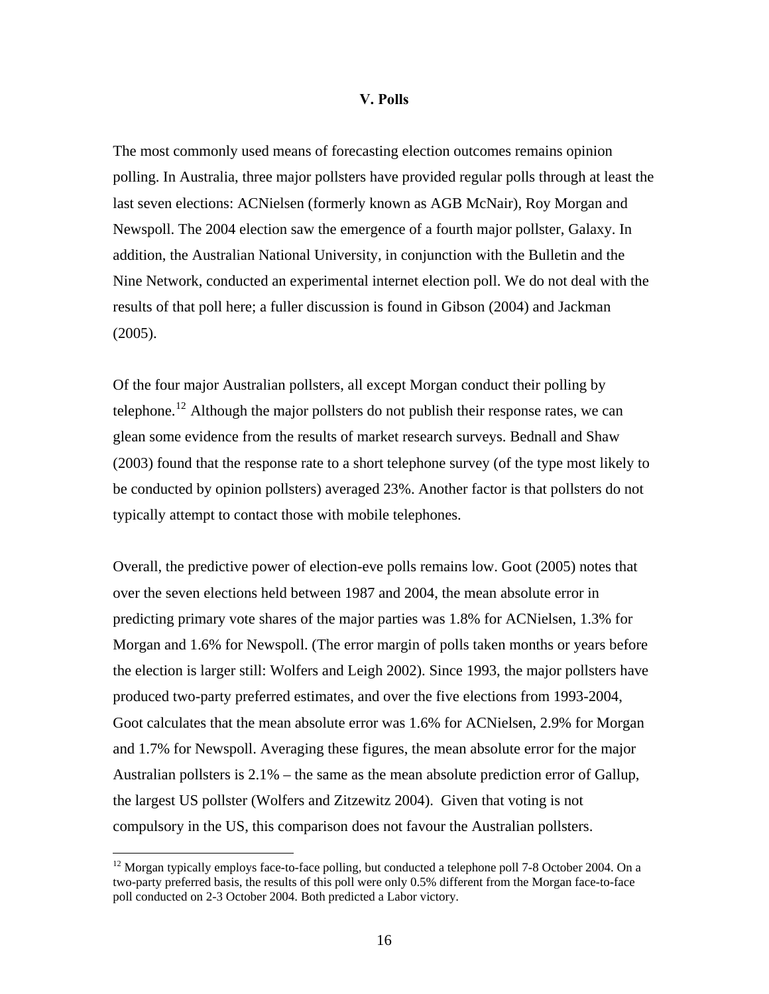### **V. Polls**

The most commonly used means of forecasting election outcomes remains opinion polling. In Australia, three major pollsters have provided regular polls through at least the last seven elections: ACNielsen (formerly known as AGB McNair), Roy Morgan and Newspoll. The 2004 election saw the emergence of a fourth major pollster, Galaxy. In addition, the Australian National University, in conjunction with the Bulletin and the Nine Network, conducted an experimental internet election poll. We do not deal with the results of that poll here; a fuller discussion is found in Gibson (2004) and Jackman (2005).

Of the four major Australian pollsters, all except Morgan conduct their polling by telephone.<sup>[12](#page-17-0)</sup> Although the major pollsters do not publish their response rates, we can glean some evidence from the results of market research surveys. Bednall and Shaw (2003) found that the response rate to a short telephone survey (of the type most likely to be conducted by opinion pollsters) averaged 23%. Another factor is that pollsters do not typically attempt to contact those with mobile telephones.

Overall, the predictive power of election-eve polls remains low. Goot (2005) notes that over the seven elections held between 1987 and 2004, the mean absolute error in predicting primary vote shares of the major parties was 1.8% for ACNielsen, 1.3% for Morgan and 1.6% for Newspoll. (The error margin of polls taken months or years before the election is larger still: Wolfers and Leigh 2002). Since 1993, the major pollsters have produced two-party preferred estimates, and over the five elections from 1993-2004, Goot calculates that the mean absolute error was 1.6% for ACNielsen, 2.9% for Morgan and 1.7% for Newspoll. Averaging these figures, the mean absolute error for the major Australian pollsters is  $2.1\%$  – the same as the mean absolute prediction error of Gallup, the largest US pollster (Wolfers and Zitzewitz 2004). Given that voting is not compulsory in the US, this comparison does not favour the Australian pollsters.

<span id="page-17-0"></span><sup>&</sup>lt;sup>12</sup> Morgan typically employs face-to-face polling, but conducted a telephone poll 7-8 October 2004. On a two-party preferred basis, the results of this poll were only 0.5% different from the Morgan face-to-face poll conducted on 2-3 October 2004. Both predicted a Labor victory.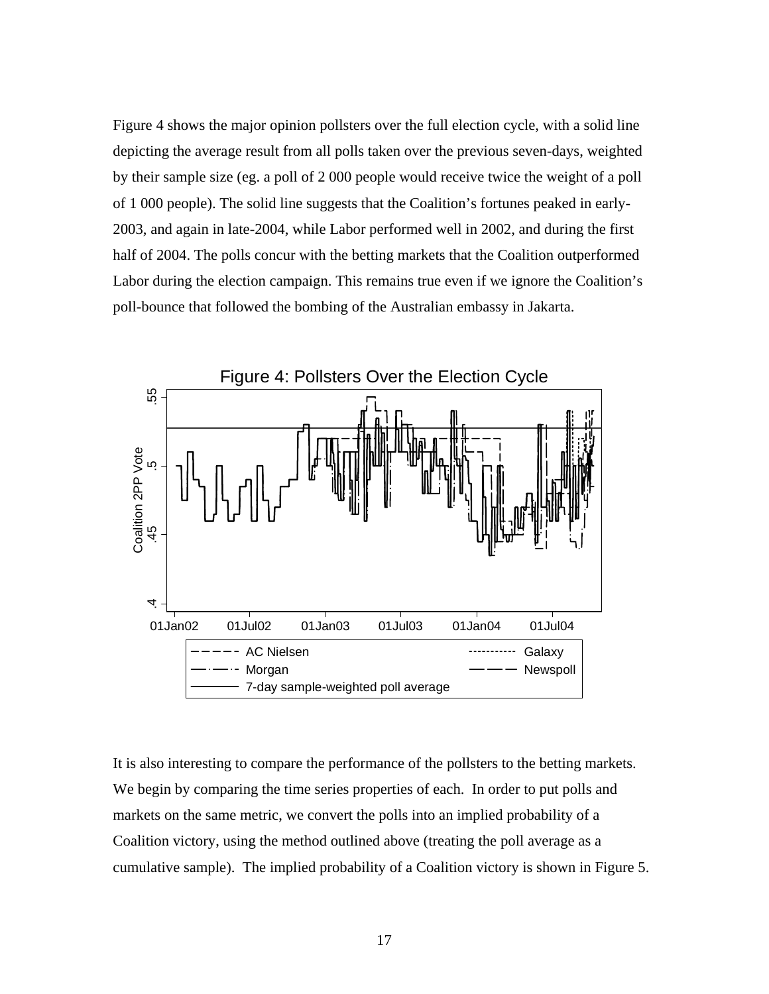Figure 4 shows the major opinion pollsters over the full election cycle, with a solid line depicting the average result from all polls taken over the previous seven-days, weighted by their sample size (eg. a poll of 2 000 people would receive twice the weight of a poll of 1 000 people). The solid line suggests that the Coalition's fortunes peaked in early-2003, and again in late-2004, while Labor performed well in 2002, and during the first half of 2004. The polls concur with the betting markets that the Coalition outperformed Labor during the election campaign. This remains true even if we ignore the Coalition's poll-bounce that followed the bombing of the Australian embassy in Jakarta.



It is also interesting to compare the performance of the pollsters to the betting markets. We begin by comparing the time series properties of each. In order to put polls and markets on the same metric, we convert the polls into an implied probability of a Coalition victory, using the method outlined above (treating the poll average as a cumulative sample). The implied probability of a Coalition victory is shown in Figure 5.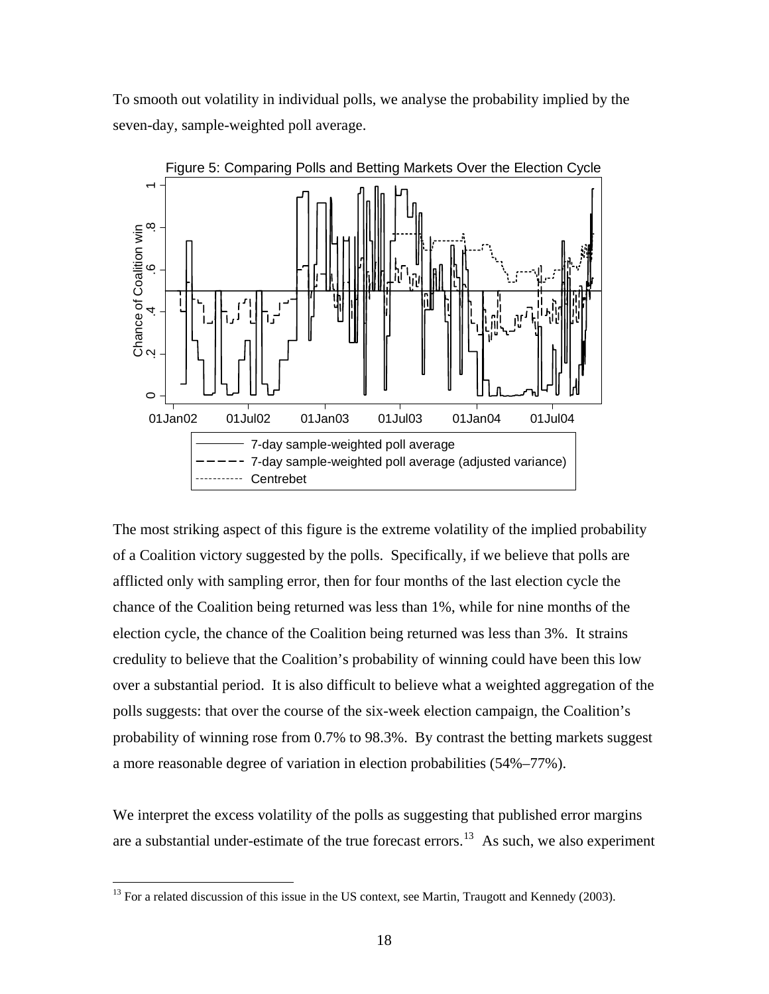To smooth out volatility in individual polls, we analyse the probability implied by the seven-day, sample-weighted poll average.



The most striking aspect of this figure is the extreme volatility of the implied probability of a Coalition victory suggested by the polls. Specifically, if we believe that polls are afflicted only with sampling error, then for four months of the last election cycle the chance of the Coalition being returned was less than 1%, while for nine months of the election cycle, the chance of the Coalition being returned was less than 3%. It strains credulity to believe that the Coalition's probability of winning could have been this low over a substantial period. It is also difficult to believe what a weighted aggregation of the polls suggests: that over the course of the six-week election campaign, the Coalition's probability of winning rose from 0.7% to 98.3%. By contrast the betting markets suggest a more reasonable degree of variation in election probabilities (54%–77%).

We interpret the excess volatility of the polls as suggesting that published error margins are a substantial under-estimate of the true forecast errors.<sup>[13](#page-19-0)</sup> As such, we also experiment

<span id="page-19-0"></span> $^{13}$  For a related discussion of this issue in the US context, see Martin, Traugott and Kennedy (2003).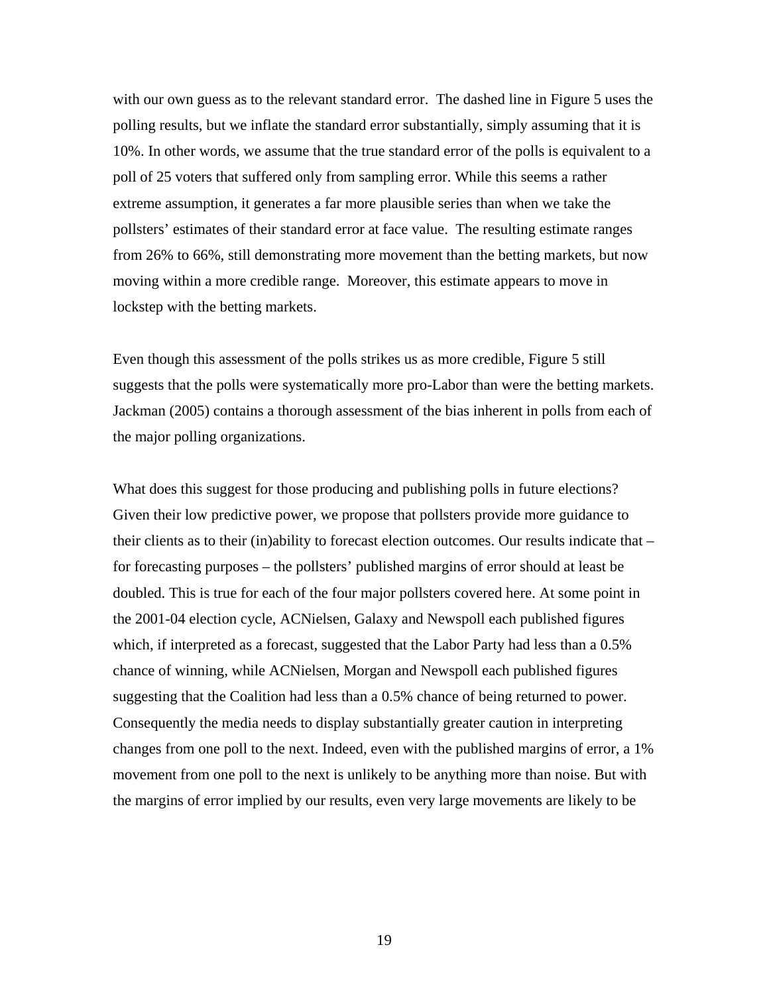with our own guess as to the relevant standard error. The dashed line in Figure 5 uses the polling results, but we inflate the standard error substantially, simply assuming that it is 10%. In other words, we assume that the true standard error of the polls is equivalent to a poll of 25 voters that suffered only from sampling error. While this seems a rather extreme assumption, it generates a far more plausible series than when we take the pollsters' estimates of their standard error at face value. The resulting estimate ranges from 26% to 66%, still demonstrating more movement than the betting markets, but now moving within a more credible range. Moreover, this estimate appears to move in lockstep with the betting markets.

Even though this assessment of the polls strikes us as more credible, Figure 5 still suggests that the polls were systematically more pro-Labor than were the betting markets. Jackman (2005) contains a thorough assessment of the bias inherent in polls from each of the major polling organizations.

What does this suggest for those producing and publishing polls in future elections? Given their low predictive power, we propose that pollsters provide more guidance to their clients as to their (in)ability to forecast election outcomes. Our results indicate that – for forecasting purposes – the pollsters' published margins of error should at least be doubled. This is true for each of the four major pollsters covered here. At some point in the 2001-04 election cycle, ACNielsen, Galaxy and Newspoll each published figures which, if interpreted as a forecast, suggested that the Labor Party had less than a 0.5% chance of winning, while ACNielsen, Morgan and Newspoll each published figures suggesting that the Coalition had less than a 0.5% chance of being returned to power. Consequently the media needs to display substantially greater caution in interpreting changes from one poll to the next. Indeed, even with the published margins of error, a 1% movement from one poll to the next is unlikely to be anything more than noise. But with the margins of error implied by our results, even very large movements are likely to be

19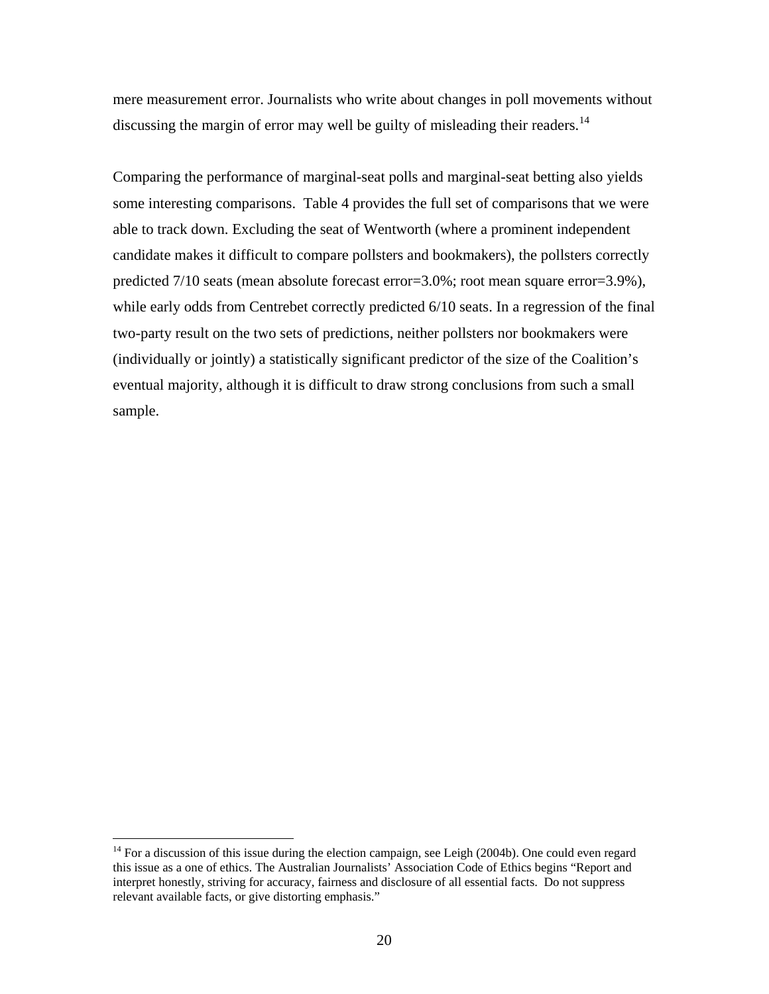mere measurement error. Journalists who write about changes in poll movements without discussing the margin of error may well be guilty of misleading their readers.<sup>[14](#page-21-0)</sup>

Comparing the performance of marginal-seat polls and marginal-seat betting also yields some interesting comparisons. Table 4 provides the full set of comparisons that we were able to track down. Excluding the seat of Wentworth (where a prominent independent candidate makes it difficult to compare pollsters and bookmakers), the pollsters correctly predicted 7/10 seats (mean absolute forecast error=3.0%; root mean square error=3.9%), while early odds from Centrebet correctly predicted  $6/10$  seats. In a regression of the final two-party result on the two sets of predictions, neither pollsters nor bookmakers were (individually or jointly) a statistically significant predictor of the size of the Coalition's eventual majority, although it is difficult to draw strong conclusions from such a small sample.

<span id="page-21-0"></span> $14$  For a discussion of this issue during the election campaign, see Leigh (2004b). One could even regard this issue as a one of ethics. The Australian Journalists' Association Code of Ethics begins "Report and interpret honestly, striving for accuracy, fairness and disclosure of all essential facts. Do not suppress relevant available facts, or give distorting emphasis."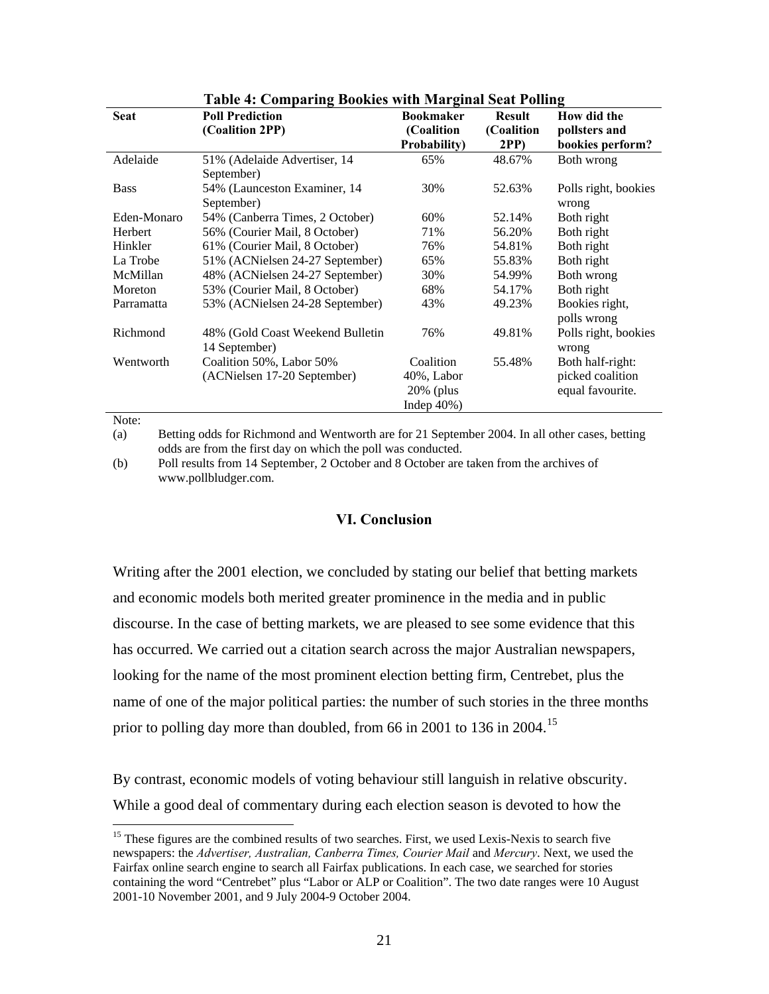|              | raoic il comparing boomes with marginal seat roming |                      |               |                      |
|--------------|-----------------------------------------------------|----------------------|---------------|----------------------|
| <b>Seat</b>  | <b>Poll Prediction</b>                              | <b>Bookmaker</b>     | <b>Result</b> | How did the          |
|              | (Coalition 2PP)                                     | (Coalition           | (Coalition    | pollsters and        |
|              |                                                     | <b>Probability</b> ) | <b>2PP</b> )  | bookies perform?     |
| Adelaide     | 51% (Adelaide Advertiser, 14                        | 65%                  | 48.67%        | Both wrong           |
|              | September)                                          |                      |               |                      |
| <b>Bass</b>  | 54% (Launceston Examiner, 14                        | 30%                  | 52.63%        | Polls right, bookies |
|              | September)                                          |                      |               | wrong                |
| Eden-Monaro  | 54% (Canberra Times, 2 October)                     | 60%                  | 52.14%        | Both right           |
| Herbert      | 56% (Courier Mail, 8 October)                       | 71%                  | 56.20%        | Both right           |
| Hinkler      | 61% (Courier Mail, 8 October)                       | 76%                  | 54.81%        | Both right           |
| La Trobe     | 51% (ACNielsen 24-27 September)                     | 65%                  | 55.83%        | Both right           |
| McMillan     | 48% (ACNielsen 24-27 September)                     | 30%                  | 54.99%        | Both wrong           |
| Moreton      | 53% (Courier Mail, 8 October)                       | 68%                  | 54.17%        | Both right           |
| Parramatta   | 53% (ACNielsen 24-28 September)                     | 43%                  | 49.23%        | Bookies right,       |
|              |                                                     |                      |               | polls wrong          |
| Richmond     | 48% (Gold Coast Weekend Bulletin                    | 76%                  | 49.81%        | Polls right, bookies |
|              | 14 September)                                       |                      |               | wrong                |
| Wentworth    | Coalition 50%, Labor 50%                            | Coalition            | 55.48%        | Both half-right:     |
|              | (ACNielsen 17-20 September)                         | $40\%$ , Labor       |               | picked coalition     |
|              |                                                     | $20\%$ (plus         |               | equal favourite.     |
|              |                                                     | Indep $40\%$ )       |               |                      |
| $NT = 4 - 1$ |                                                     |                      |               |                      |

# **Table 4: Comparing Bookies with Marginal Seat Polling**

Note:

 $\overline{a}$ 

(a) Betting odds for Richmond and Wentworth are for 21 September 2004. In all other cases, betting odds are from the first day on which the poll was conducted.

(b) Poll results from 14 September, 2 October and 8 October are taken from the archives of www.pollbludger.com.

# **VI. Conclusion**

Writing after the 2001 election, we concluded by stating our belief that betting markets and economic models both merited greater prominence in the media and in public discourse. In the case of betting markets, we are pleased to see some evidence that this has occurred. We carried out a citation search across the major Australian newspapers, looking for the name of the most prominent election betting firm, Centrebet, plus the name of one of the major political parties: the number of such stories in the three months prior to polling day more than doubled, from 66 in 2001 to 136 in 2004.<sup>[15](#page-22-0)</sup>

By contrast, economic models of voting behaviour still languish in relative obscurity. While a good deal of commentary during each election season is devoted to how the

<span id="page-22-0"></span><sup>&</sup>lt;sup>15</sup> These figures are the combined results of two searches. First, we used Lexis-Nexis to search five newspapers: the *Advertiser, Australian, Canberra Times, Courier Mail* and *Mercury*. Next, we used the Fairfax online search engine to search all Fairfax publications. In each case, we searched for stories containing the word "Centrebet" plus "Labor or ALP or Coalition". The two date ranges were 10 August 2001-10 November 2001, and 9 July 2004-9 October 2004.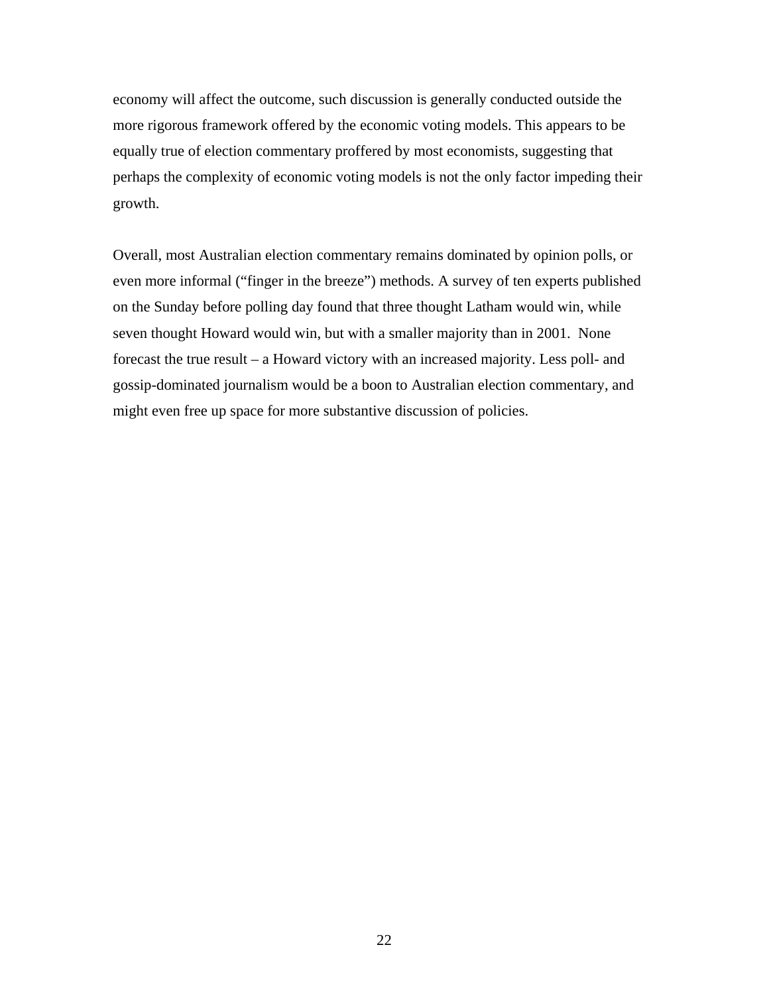economy will affect the outcome, such discussion is generally conducted outside the more rigorous framework offered by the economic voting models. This appears to be equally true of election commentary proffered by most economists, suggesting that perhaps the complexity of economic voting models is not the only factor impeding their growth.

Overall, most Australian election commentary remains dominated by opinion polls, or even more informal ("finger in the breeze") methods. A survey of ten experts published on the Sunday before polling day found that three thought Latham would win, while seven thought Howard would win, but with a smaller majority than in 2001. None forecast the true result – a Howard victory with an increased majority. Less poll- and gossip-dominated journalism would be a boon to Australian election commentary, and might even free up space for more substantive discussion of policies.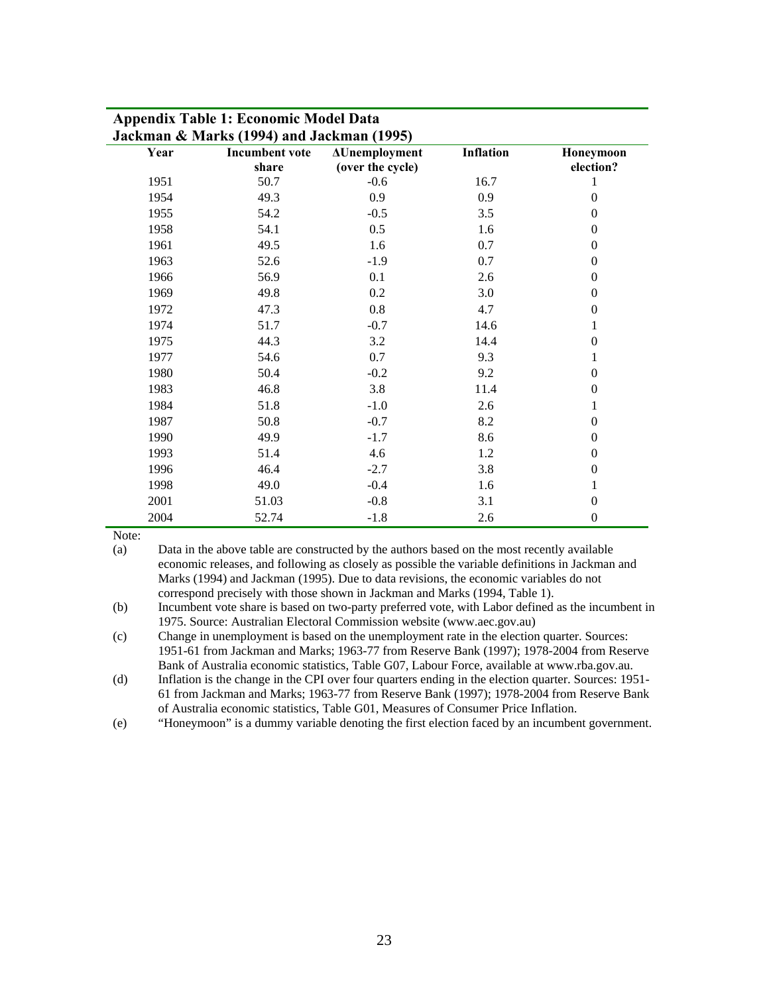| Year | <b>Incumbent vote</b> | <b>AUnemployment</b> | Inflation | Honeymoon        |
|------|-----------------------|----------------------|-----------|------------------|
|      | share                 | (over the cycle)     |           | election?        |
| 1951 | 50.7                  | $-0.6$               | 16.7      | 1                |
| 1954 | 49.3                  | 0.9                  | 0.9       | $\theta$         |
| 1955 | 54.2                  | $-0.5$               | 3.5       | $\theta$         |
| 1958 | 54.1                  | 0.5                  | 1.6       | $\Omega$         |
| 1961 | 49.5                  | 1.6                  | 0.7       | $\theta$         |
| 1963 | 52.6                  | $-1.9$               | 0.7       | $\mathbf{0}$     |
| 1966 | 56.9                  | 0.1                  | 2.6       | $\theta$         |
| 1969 | 49.8                  | 0.2                  | 3.0       | $\boldsymbol{0}$ |
| 1972 | 47.3                  | 0.8                  | 4.7       | $\theta$         |
| 1974 | 51.7                  | $-0.7$               | 14.6      | 1                |
| 1975 | 44.3                  | 3.2                  | 14.4      | $\boldsymbol{0}$ |
| 1977 | 54.6                  | 0.7                  | 9.3       | 1                |
| 1980 | 50.4                  | $-0.2$               | 9.2       | $\mathbf{0}$     |
| 1983 | 46.8                  | 3.8                  | 11.4      | $\theta$         |
| 1984 | 51.8                  | $-1.0$               | 2.6       | 1                |
| 1987 | 50.8                  | $-0.7$               | 8.2       | $\boldsymbol{0}$ |
| 1990 | 49.9                  | $-1.7$               | 8.6       | $\mathbf{0}$     |
| 1993 | 51.4                  | 4.6                  | 1.2       | $\mathbf{0}$     |
| 1996 | 46.4                  | $-2.7$               | 3.8       | $\mathbf{0}$     |
| 1998 | 49.0                  | $-0.4$               | 1.6       | 1                |
| 2001 | 51.03                 | $-0.8$               | 3.1       | $\theta$         |
| 2004 | 52.74                 | $-1.8$               | 2.6       | $\boldsymbol{0}$ |

# **Appendix Table 1: Economic Model Data**

Note:

(a) Data in the above table are constructed by the authors based on the most recently available economic releases, and following as closely as possible the variable definitions in Jackman and Marks (1994) and Jackman (1995). Due to data revisions, the economic variables do not correspond precisely with those shown in Jackman and Marks (1994, Table 1).

(b) Incumbent vote share is based on two-party preferred vote, with Labor defined as the incumbent in 1975. Source: Australian Electoral Commission website (www.aec.gov.au)

(c) Change in unemployment is based on the unemployment rate in the election quarter. Sources: 1951-61 from Jackman and Marks; 1963-77 from Reserve Bank (1997); 1978-2004 from Reserve Bank of Australia economic statistics, Table G07, Labour Force, available at www.rba.gov.au.

(d) Inflation is the change in the CPI over four quarters ending in the election quarter. Sources: 1951- 61 from Jackman and Marks; 1963-77 from Reserve Bank (1997); 1978-2004 from Reserve Bank of Australia economic statistics, Table G01, Measures of Consumer Price Inflation.

(e) "Honeymoon" is a dummy variable denoting the first election faced by an incumbent government.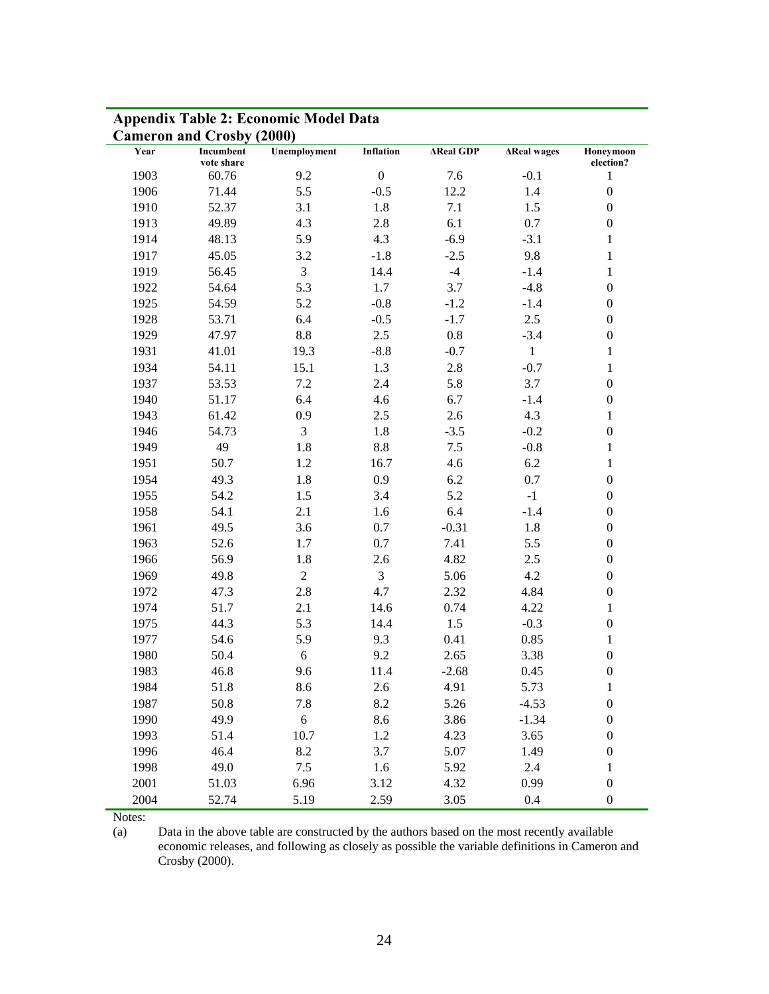|      | <b>Cameron and Crosby (2000)</b> |                |                  |                  |                    |                           |
|------|----------------------------------|----------------|------------------|------------------|--------------------|---------------------------|
| Year | Incumbent                        | Unemployment   | <b>Inflation</b> | <b>AReal GDP</b> | <b>AReal wages</b> | Honeymoon                 |
| 1903 | vote share<br>60.76              | 9.2            | $\boldsymbol{0}$ | 7.6              | $-0.1$             | election?<br>$\mathbf{1}$ |
| 1906 | 71.44                            | 5.5            | $-0.5$           | 12.2             | 1.4                | $\boldsymbol{0}$          |
| 1910 | 52.37                            | 3.1            | 1.8              | 7.1              | 1.5                | $\boldsymbol{0}$          |
| 1913 | 49.89                            | 4.3            | 2.8              | 6.1              | 0.7                | $\boldsymbol{0}$          |
|      |                                  |                | 4.3              | $-6.9$           |                    |                           |
| 1914 | 48.13<br>45.05                   | 5.9            |                  |                  | $-3.1$             | $\mathbf 1$               |
| 1917 |                                  | 3.2            | $-1.8$           | $-2.5$           | 9.8                | $\mathbf{1}$              |
| 1919 | 56.45                            | 3              | 14.4             | $-4$             | $-1.4$             | $\,1$                     |
| 1922 | 54.64                            | 5.3            | 1.7              | 3.7              | $-4.8$             | $\boldsymbol{0}$          |
| 1925 | 54.59                            | 5.2            | $-0.8$           | $-1.2$           | $-1.4$             | $\boldsymbol{0}$          |
| 1928 | 53.71                            | 6.4            | $-0.5$           | $-1.7$           | 2.5                | $\boldsymbol{0}$          |
| 1929 | 47.97                            | 8.8            | 2.5              | 0.8              | $-3.4$             | $\boldsymbol{0}$          |
| 1931 | 41.01                            | 19.3           | $-8.8$           | $-0.7$           | $\mathbf{1}$       | $\mathbf{1}$              |
| 1934 | 54.11                            | 15.1           | 1.3              | 2.8              | $-0.7$             | $\mathbf{1}$              |
| 1937 | 53.53                            | 7.2            | 2.4              | 5.8              | 3.7                | $\boldsymbol{0}$          |
| 1940 | 51.17                            | 6.4            | 4.6              | 6.7              | $-1.4$             | $\boldsymbol{0}$          |
| 1943 | 61.42                            | 0.9            | 2.5              | 2.6              | 4.3                | $\mathbf{1}$              |
| 1946 | 54.73                            | 3              | $1.8\,$          | $-3.5$           | $-0.2$             | $\boldsymbol{0}$          |
| 1949 | 49                               | 1.8            | $8.8\,$          | 7.5              | $-0.8$             | $\mathbf{1}$              |
| 1951 | 50.7                             | 1.2            | 16.7             | 4.6              | 6.2                | $\mathbf{1}$              |
| 1954 | 49.3                             | 1.8            | 0.9              | 6.2              | 0.7                | $\boldsymbol{0}$          |
| 1955 | 54.2                             | 1.5            | 3.4              | 5.2              | $-1$               | $\boldsymbol{0}$          |
| 1958 | 54.1                             | 2.1            | 1.6              | 6.4              | $-1.4$             | $\boldsymbol{0}$          |
| 1961 | 49.5                             | 3.6            | 0.7              | $-0.31$          | 1.8                | $\boldsymbol{0}$          |
| 1963 | 52.6                             | 1.7            | 0.7              | 7.41             | 5.5                | $\boldsymbol{0}$          |
| 1966 | 56.9                             | 1.8            | 2.6              | 4.82             | 2.5                | $\boldsymbol{0}$          |
| 1969 | 49.8                             | $\overline{2}$ | 3                | 5.06             | 4.2                | $\boldsymbol{0}$          |
| 1972 | 47.3                             | 2.8            | 4.7              | 2.32             | 4.84               | $\boldsymbol{0}$          |
| 1974 | 51.7                             | 2.1            | 14.6             | 0.74             | 4.22               | $\mathbf{1}$              |
| 1975 | 44.3                             | 5.3            | 14.4             | 1.5              | $-0.3$             | $\boldsymbol{0}$          |
| 1977 | 54.6                             | 5.9            | 9.3              | 0.41             | 0.85               | $\mathbf{1}$              |
| 1980 | 50.4                             | 6              | 9.2              | 2.65             | 3.38               | $\boldsymbol{0}$          |
| 1983 | 46.8                             | 9.6            | 11.4             | $-2.68$          | 0.45               | $\boldsymbol{0}$          |
| 1984 | 51.8                             | 8.6            | 2.6              | 4.91             | 5.73               | $\mathbf{1}$              |
| 1987 | 50.8                             | 7.8            | 8.2              | 5.26             | $-4.53$            | $\boldsymbol{0}$          |
| 1990 | 49.9                             | 6              | 8.6              | 3.86             | $-1.34$            | $\boldsymbol{0}$          |
| 1993 | 51.4                             | 10.7           | 1.2              | 4.23             | 3.65               | $\boldsymbol{0}$          |
| 1996 | 46.4                             | 8.2            | 3.7              | 5.07             | 1.49               | $\boldsymbol{0}$          |
| 1998 | 49.0                             | 7.5            | 1.6              | 5.92             | 2.4                | $\mathbf{1}$              |
| 2001 | 51.03                            | 6.96           | 3.12             | 4.32             | 0.99               | $\boldsymbol{0}$          |
| 2004 | 52.74                            | 5.19           | 2.59             | 3.05             | 0.4                | $\boldsymbol{0}$          |

# **Appendix Table 2: Economic Model Data**

Notes:

(a) Data in the above table are constructed by the authors based on the most recently available economic releases, and following as closely as possible the variable definitions in Cameron and Crosby (2000).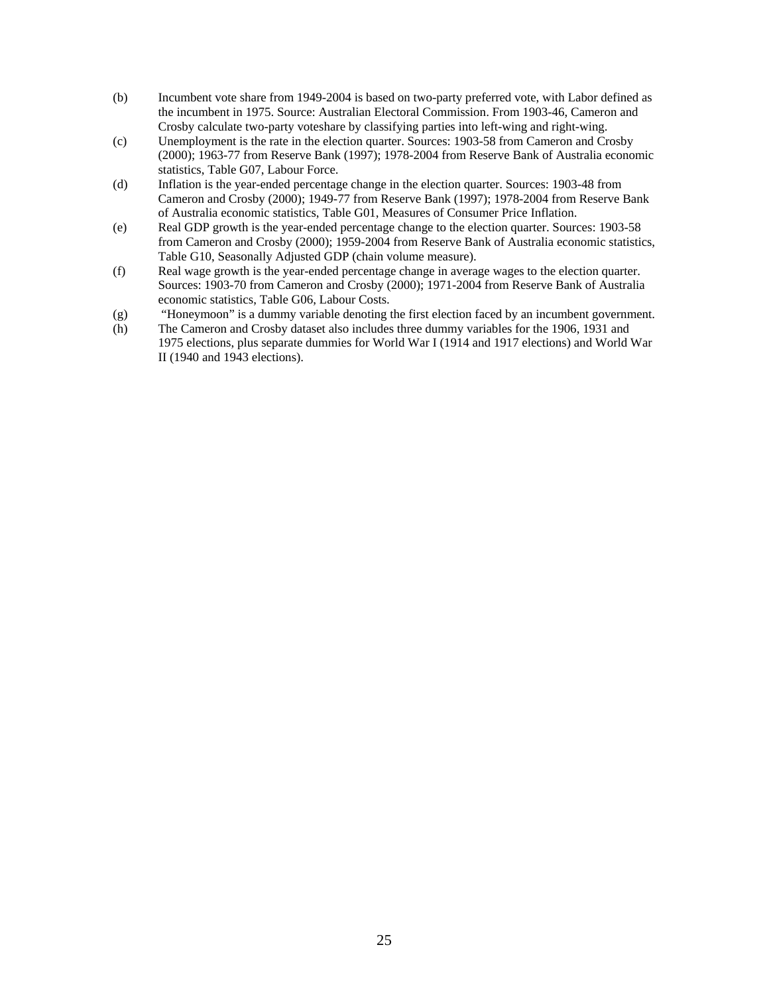- (b) Incumbent vote share from 1949-2004 is based on two-party preferred vote, with Labor defined as the incumbent in 1975. Source: Australian Electoral Commission. From 1903-46, Cameron and Crosby calculate two-party voteshare by classifying parties into left-wing and right-wing.
- (c) Unemployment is the rate in the election quarter. Sources: 1903-58 from Cameron and Crosby (2000); 1963-77 from Reserve Bank (1997); 1978-2004 from Reserve Bank of Australia economic statistics, Table G07, Labour Force.
- (d) Inflation is the year-ended percentage change in the election quarter. Sources: 1903-48 from Cameron and Crosby (2000); 1949-77 from Reserve Bank (1997); 1978-2004 from Reserve Bank of Australia economic statistics, Table G01, Measures of Consumer Price Inflation.
- (e) Real GDP growth is the year-ended percentage change to the election quarter. Sources: 1903-58 from Cameron and Crosby (2000); 1959-2004 from Reserve Bank of Australia economic statistics, Table G10, Seasonally Adjusted GDP (chain volume measure).
- (f) Real wage growth is the year-ended percentage change in average wages to the election quarter. Sources: 1903-70 from Cameron and Crosby (2000); 1971-2004 from Reserve Bank of Australia economic statistics, Table G06, Labour Costs.
- (g) "Honeymoon" is a dummy variable denoting the first election faced by an incumbent government.
- (h) The Cameron and Crosby dataset also includes three dummy variables for the 1906, 1931 and 1975 elections, plus separate dummies for World War I (1914 and 1917 elections) and World War II (1940 and 1943 elections).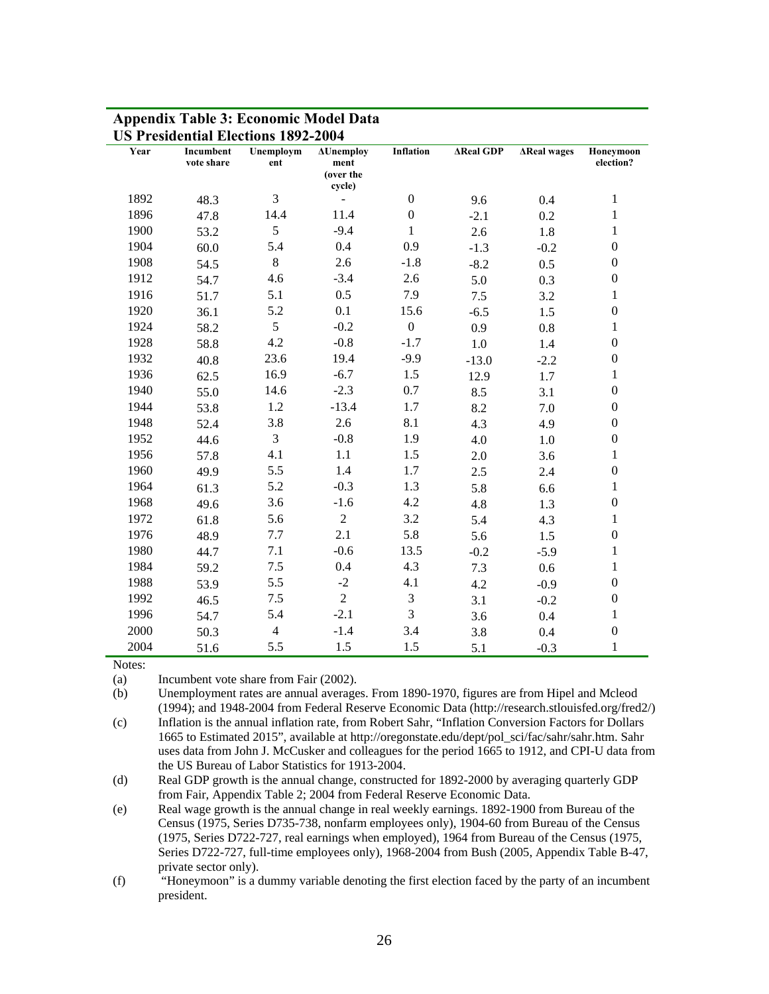|      |                         | <b>US Presidential Elections 1892-2004</b> |                                                 |                  |                  |                    |                        |
|------|-------------------------|--------------------------------------------|-------------------------------------------------|------------------|------------------|--------------------|------------------------|
| Year | Incumbent<br>vote share | Unemploym<br>ent                           | <b>AUnemploy</b><br>ment<br>(over the<br>cycle) | Inflation        | <b>AReal GDP</b> | <b>AReal wages</b> | Honeymoon<br>election? |
| 1892 | 48.3                    | 3                                          |                                                 | $\boldsymbol{0}$ | 9.6              | 0.4                | $\mathbf{1}$           |
| 1896 | 47.8                    | 14.4                                       | 11.4                                            | $\boldsymbol{0}$ | $-2.1$           | 0.2                | 1                      |
| 1900 | 53.2                    | 5                                          | $-9.4$                                          | $\mathbf{1}$     | 2.6              | 1.8                | $\mathbf{1}$           |
| 1904 | 60.0                    | 5.4                                        | 0.4                                             | 0.9              | $-1.3$           | $-0.2$             | $\boldsymbol{0}$       |
| 1908 | 54.5                    | 8                                          | 2.6                                             | $-1.8$           | $-8.2$           | 0.5                | $\boldsymbol{0}$       |
| 1912 | 54.7                    | 4.6                                        | $-3.4$                                          | 2.6              | 5.0              | 0.3                | $\boldsymbol{0}$       |
| 1916 | 51.7                    | 5.1                                        | 0.5                                             | 7.9              | 7.5              | 3.2                | $\mathbf{1}$           |
| 1920 | 36.1                    | 5.2                                        | 0.1                                             | 15.6             | $-6.5$           | 1.5                | $\boldsymbol{0}$       |
| 1924 | 58.2                    | 5                                          | $-0.2$                                          | $\boldsymbol{0}$ | 0.9              | $0.8\,$            | $\mathbf{1}$           |
| 1928 | 58.8                    | 4.2                                        | $-0.8$                                          | $-1.7$           | $1.0\,$          | 1.4                | $\boldsymbol{0}$       |
| 1932 | 40.8                    | 23.6                                       | 19.4                                            | $-9.9$           | $-13.0$          | $-2.2$             | $\boldsymbol{0}$       |
| 1936 | 62.5                    | 16.9                                       | $-6.7$                                          | 1.5              | 12.9             | 1.7                | $\mathbf{1}$           |
| 1940 | 55.0                    | 14.6                                       | $-2.3$                                          | 0.7              | 8.5              | 3.1                | $\boldsymbol{0}$       |
| 1944 | 53.8                    | 1.2                                        | $-13.4$                                         | 1.7              | 8.2              | 7.0                | $\boldsymbol{0}$       |
| 1948 | 52.4                    | 3.8                                        | 2.6                                             | 8.1              | 4.3              | 4.9                | $\boldsymbol{0}$       |
| 1952 | 44.6                    | 3                                          | $-0.8$                                          | 1.9              | 4.0              | 1.0                | $\boldsymbol{0}$       |
| 1956 | 57.8                    | 4.1                                        | 1.1                                             | 1.5              | 2.0              | 3.6                | $\mathbf{1}$           |
| 1960 | 49.9                    | 5.5                                        | 1.4                                             | 1.7              | 2.5              | 2.4                | $\boldsymbol{0}$       |
| 1964 | 61.3                    | 5.2                                        | $-0.3$                                          | 1.3              | 5.8              | 6.6                | $\mathbf{1}$           |
| 1968 | 49.6                    | 3.6                                        | $-1.6$                                          | 4.2              | 4.8              | 1.3                | $\boldsymbol{0}$       |
| 1972 | 61.8                    | 5.6                                        | $\overline{2}$                                  | 3.2              | 5.4              | 4.3                | $\mathbf{1}$           |
| 1976 | 48.9                    | 7.7                                        | 2.1                                             | 5.8              | 5.6              | 1.5                | $\boldsymbol{0}$       |
| 1980 | 44.7                    | 7.1                                        | $-0.6$                                          | 13.5             | $-0.2$           | $-5.9$             | $\mathbf{1}$           |
| 1984 | 59.2                    | 7.5                                        | 0.4                                             | 4.3              | 7.3              | 0.6                | $\mathbf{1}$           |
| 1988 | 53.9                    | 5.5                                        | $-2$                                            | 4.1              | 4.2              | $-0.9$             | $\boldsymbol{0}$       |
| 1992 | 46.5                    | 7.5                                        | $\overline{2}$                                  | $\mathfrak{Z}$   | 3.1              | $-0.2$             | $\boldsymbol{0}$       |
| 1996 | 54.7                    | 5.4                                        | $-2.1$                                          | 3                | 3.6              | $0.4\,$            | $\mathbf{1}$           |
| 2000 | 50.3                    | $\overline{4}$                             | $-1.4$                                          | 3.4              | 3.8              | 0.4                | $\boldsymbol{0}$       |
| 2004 | 51.6                    | 5.5                                        | 1.5                                             | 1.5              | 5.1              | $-0.3$             | $\mathbf{1}$           |

# **Appendix Table 3: Economic Model Data**

Notes:

(a) Incumbent vote share from Fair (2002).

(b) Unemployment rates are annual averages. From 1890-1970, figures are from Hipel and Mcleod (1994); and 1948-2004 from Federal Reserve Economic Data (http://research.stlouisfed.org/fred2/)

(c) Inflation is the annual inflation rate, from Robert Sahr, "Inflation Conversion Factors for Dollars 1665 to Estimated 2015", available at http://oregonstate.edu/dept/pol\_sci/fac/sahr/sahr.htm. Sahr uses data from John J. McCusker and colleagues for the period 1665 to 1912, and CPI-U data from the US Bureau of Labor Statistics for 1913-2004.

(d) Real GDP growth is the annual change, constructed for 1892-2000 by averaging quarterly GDP from Fair, Appendix Table 2; 2004 from Federal Reserve Economic Data.

(e) Real wage growth is the annual change in real weekly earnings. 1892-1900 from Bureau of the Census (1975, Series D735-738, nonfarm employees only), 1904-60 from Bureau of the Census (1975, Series D722-727, real earnings when employed), 1964 from Bureau of the Census (1975, Series D722-727, full-time employees only), 1968-2004 from Bush (2005, Appendix Table B-47, private sector only).

(f) "Honeymoon" is a dummy variable denoting the first election faced by the party of an incumbent president.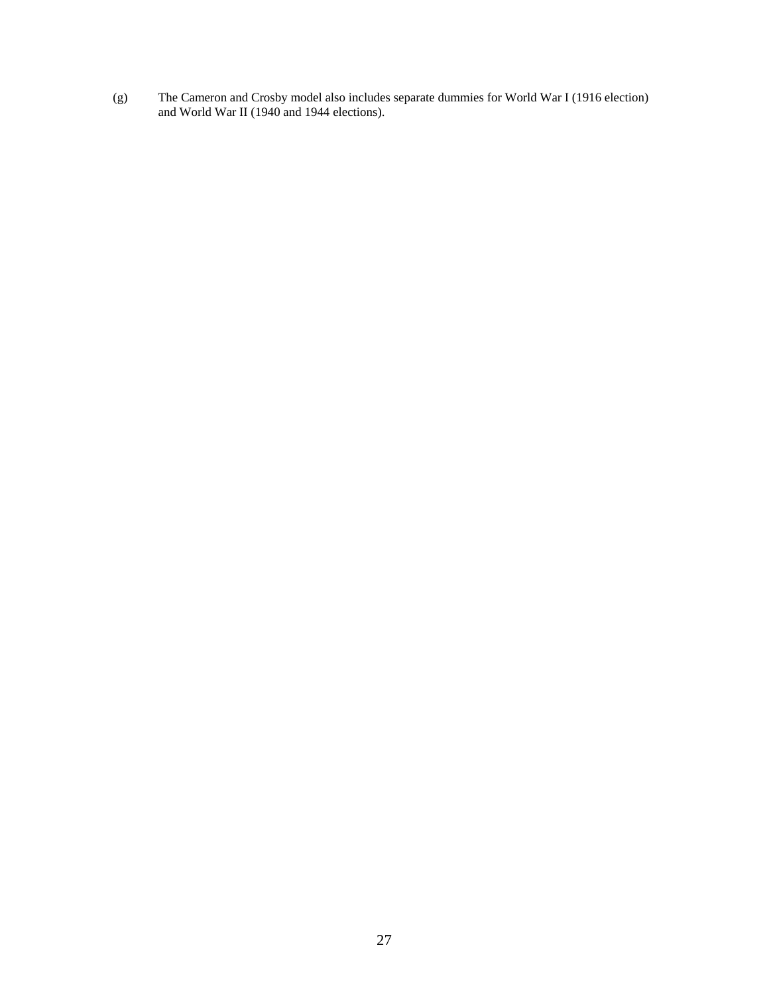(g) The Cameron and Crosby model also includes separate dummies for World War I (1916 election) and World War II (1940 and 1944 elections).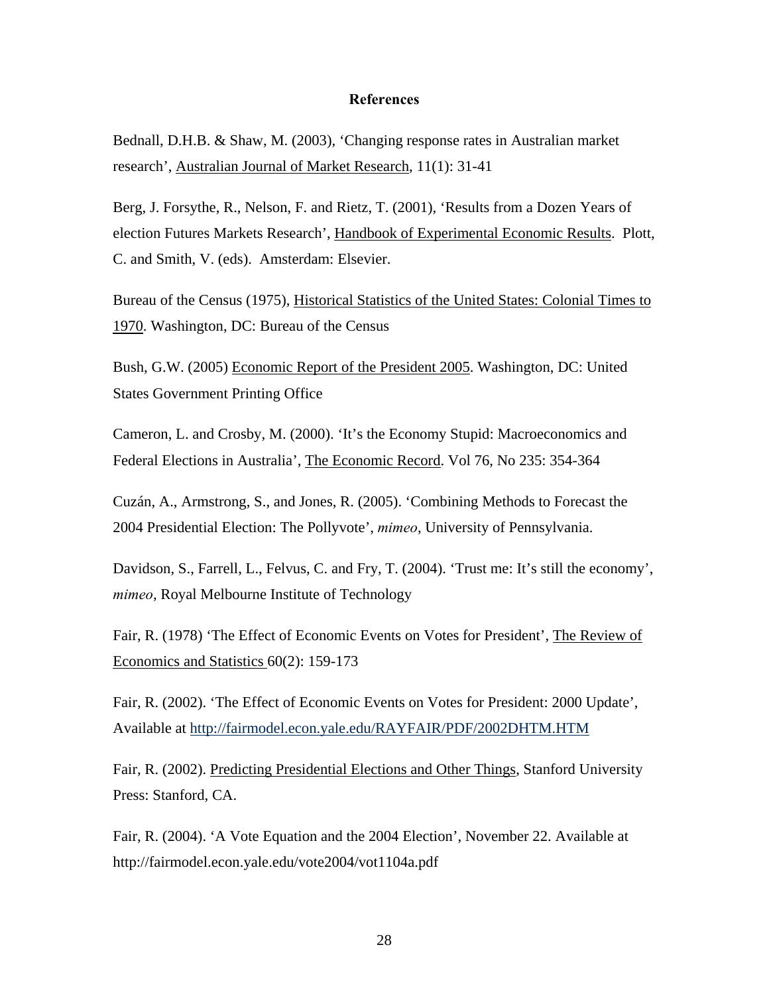### **References**

Bednall, D.H.B. & Shaw, M. (2003), 'Changing response rates in Australian market research', Australian Journal of Market Research, 11(1): 31-41

Berg, J. Forsythe, R., Nelson, F. and Rietz, T. (2001), 'Results from a Dozen Years of election Futures Markets Research', Handbook of Experimental Economic Results. Plott, C. and Smith, V. (eds). Amsterdam: Elsevier.

Bureau of the Census (1975), Historical Statistics of the United States: Colonial Times to 1970. Washington, DC: Bureau of the Census

Bush, G.W. (2005) Economic Report of the President 2005. Washington, DC: United States Government Printing Office

Cameron, L. and Crosby, M. (2000). 'It's the Economy Stupid: Macroeconomics and Federal Elections in Australia', The Economic Record. Vol 76, No 235: 354-364

Cuzán, A., Armstrong, S., and Jones, R. (2005). 'Combining Methods to Forecast the 2004 Presidential Election: The Pollyvote', *mimeo*, University of Pennsylvania.

Davidson, S., Farrell, L., Felvus, C. and Fry, T. (2004). 'Trust me: It's still the economy', *mimeo*, Royal Melbourne Institute of Technology

Fair, R. (1978) 'The Effect of Economic Events on Votes for President', The Review of Economics and Statistics 60(2): 159-173

Fair, R. (2002). 'The Effect of Economic Events on Votes for President: 2000 Update', Available at<http://fairmodel.econ.yale.edu/RAYFAIR/PDF/2002DHTM.HTM>

Fair, R. (2002). Predicting Presidential Elections and Other Things, Stanford University Press: Stanford, CA.

Fair, R. (2004). 'A Vote Equation and the 2004 Election', November 22. Available at http://fairmodel.econ.yale.edu/vote2004/vot1104a.pdf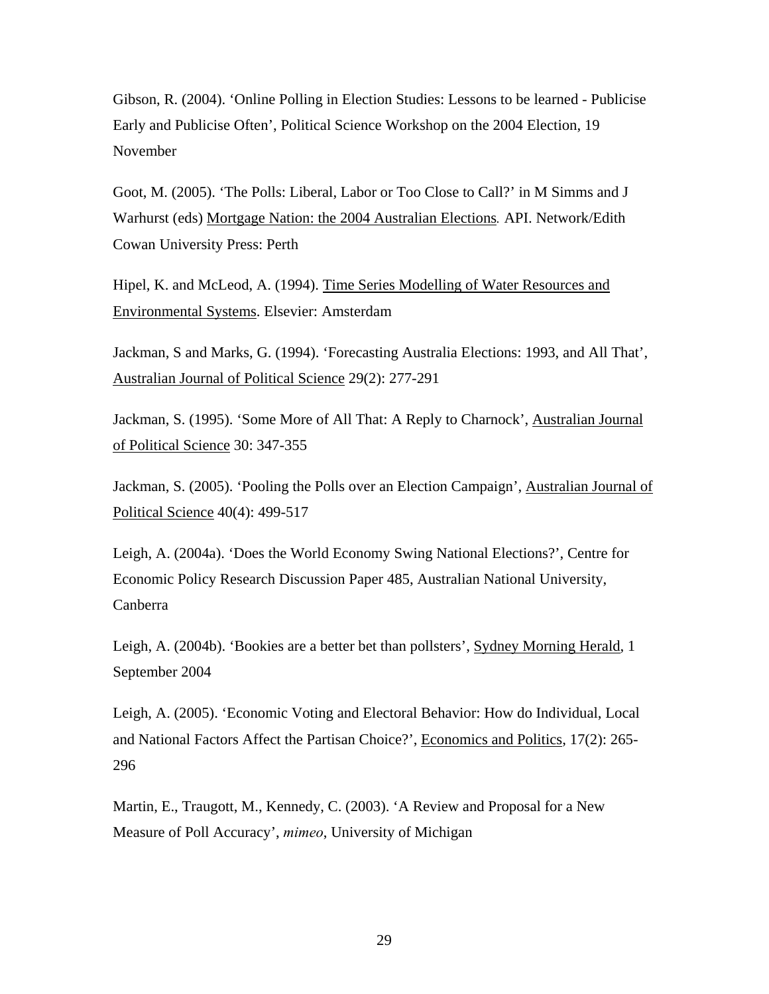Gibson, R. (2004). 'Online Polling in Election Studies: Lessons to be learned - Publicise Early and Publicise Often', Political Science Workshop on the 2004 Election, 19 November

Goot, M. (2005). 'The Polls: Liberal, Labor or Too Close to Call?' in M Simms and J Warhurst (eds) Mortgage Nation: the 2004 Australian Elections*.* API. Network/Edith Cowan University Press: Perth

Hipel, K. and McLeod, A. (1994). Time Series Modelling of Water Resources and Environmental Systems. Elsevier: Amsterdam

Jackman, S and Marks, G. (1994). 'Forecasting Australia Elections: 1993, and All That', Australian Journal of Political Science 29(2): 277-291

Jackman, S. (1995). 'Some More of All That: A Reply to Charnock', Australian Journal of Political Science 30: 347-355

Jackman, S. (2005). 'Pooling the Polls over an Election Campaign', Australian Journal of Political Science 40(4): 499-517

Leigh, A. (2004a). 'Does the World Economy Swing National Elections?', Centre for Economic Policy Research Discussion Paper 485, Australian National University, Canberra

Leigh, A. (2004b). 'Bookies are a better bet than pollsters', Sydney Morning Herald, 1 September 2004

Leigh, A. (2005). 'Economic Voting and Electoral Behavior: How do Individual, Local and National Factors Affect the Partisan Choice?', Economics and Politics, 17(2): 265- 296

Martin, E., Traugott, M., Kennedy, C. (2003). 'A Review and Proposal for a New Measure of Poll Accuracy', *mimeo*, University of Michigan